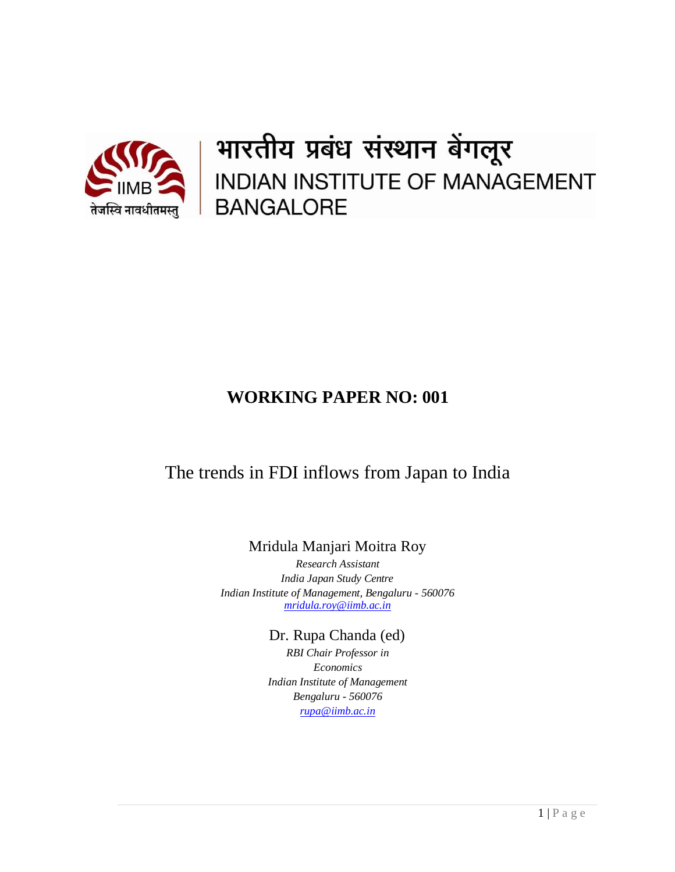

भारतीय प्रबंध संस्थान बेंगलूर INDIAN INSTITUTE OF MANAGEMENT **BANGALORE** 

# **WORKING PAPER NO: 001**

# The trends in FDI inflows from Japan to India

Mridula Manjari Moitra Roy

*Research Assistant India Japan Study Centre Indian Institute of Management, Bengaluru - 560076 [mridula.roy@iimb.ac.in](mailto:xyz@iimb.ernet.in)*

Dr. Rupa Chanda (ed)

*RBI Chair Professor in Economics Indian Institute of Management Bengaluru - 560076 [rupa@iimb.ac.in](mailto:rupa@iimb.ac.in)*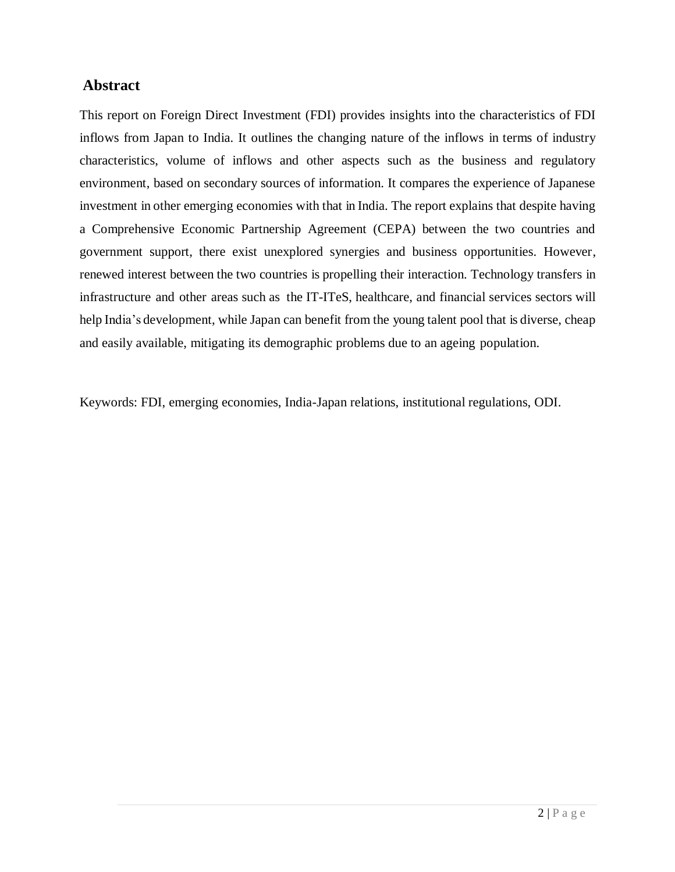### **Abstract**

This report on Foreign Direct Investment (FDI) provides insights into the characteristics of FDI inflows from Japan to India. It outlines the changing nature of the inflows in terms of industry characteristics, volume of inflows and other aspects such as the business and regulatory environment, based on secondary sources of information. It compares the experience of Japanese investment in other emerging economies with that in India. The report explains that despite having a Comprehensive Economic Partnership Agreement (CEPA) between the two countries and government support, there exist unexplored synergies and business opportunities. However, renewed interest between the two countries is propelling their interaction. Technology transfers in infrastructure and other areas such as the IT-ITeS, healthcare, and financial services sectors will help India's development, while Japan can benefit from the young talent pool that is diverse, cheap and easily available, mitigating its demographic problems due to an ageing population.

Keywords: FDI, emerging economies, India-Japan relations, institutional regulations, ODI.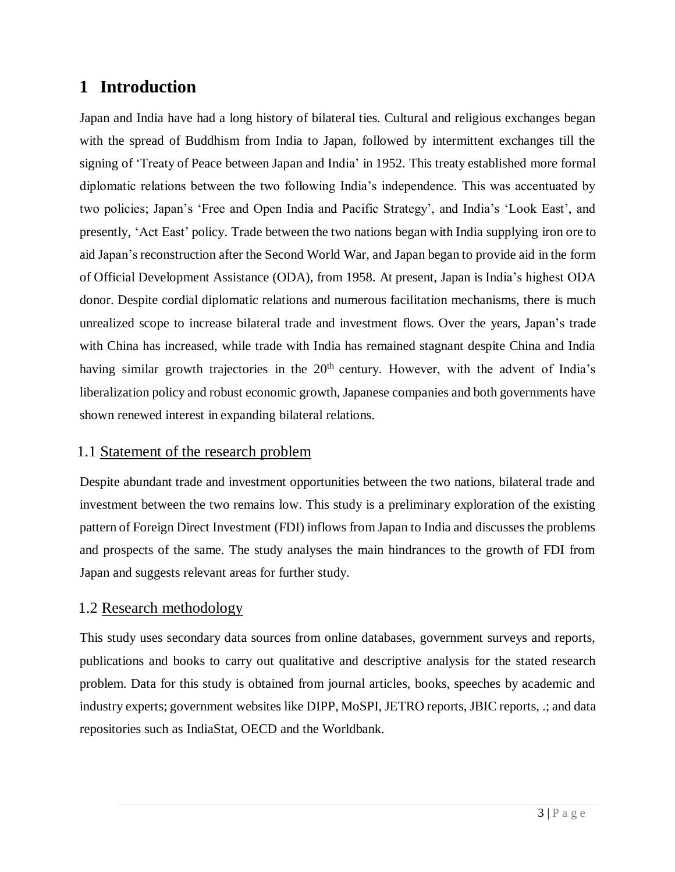# **1 Introduction**

Japan and India have had a long history of bilateral ties. Cultural and religious exchanges began with the spread of Buddhism from India to Japan, followed by intermittent exchanges till the signing of 'Treaty of Peace between Japan and India' in 1952. This treaty established more formal diplomatic relations between the two following India's independence. This was accentuated by two policies; Japan's 'Free and Open India and Pacific Strategy', and India's 'Look East', and presently, 'Act East' policy. Trade between the two nations began with India supplying iron ore to aid Japan's reconstruction after the Second World War, and Japan began to provide aid in the form of Official Development Assistance (ODA), from 1958. At present, Japan is India's highest ODA donor. Despite cordial diplomatic relations and numerous facilitation mechanisms, there is much unrealized scope to increase bilateral trade and investment flows. Over the years, Japan's trade with China has increased, while trade with India has remained stagnant despite China and India having similar growth trajectories in the 20<sup>th</sup> century. However, with the advent of India's liberalization policy and robust economic growth, Japanese companies and both governments have shown renewed interest in expanding bilateral relations.

### 1.1 Statement of the research problem

Despite abundant trade and investment opportunities between the two nations, bilateral trade and investment between the two remains low. This study is a preliminary exploration of the existing pattern of Foreign Direct Investment (FDI) inflows from Japan to India and discusses the problems and prospects of the same. The study analyses the main hindrances to the growth of FDI from Japan and suggests relevant areas for further study.

### 1.2 Research methodology

This study uses secondary data sources from online databases, government surveys and reports, publications and books to carry out qualitative and descriptive analysis for the stated research problem. Data for this study is obtained from journal articles, books, speeches by academic and industry experts; government websites like DIPP, MoSPI, JETRO reports, JBIC reports, .; and data repositories such as IndiaStat, OECD and the Worldbank.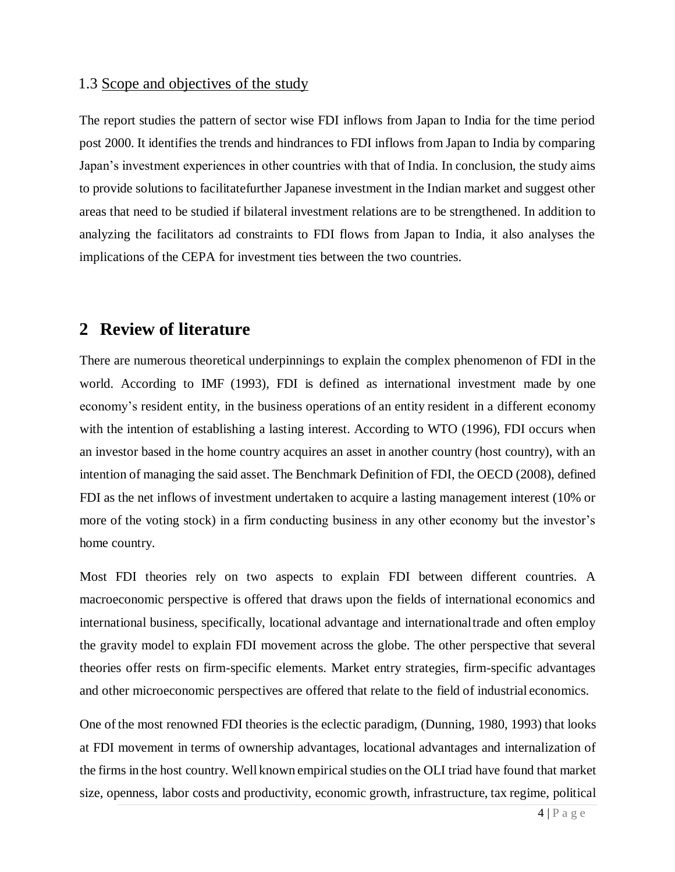#### 1.3 Scope and objectives of the study

The report studies the pattern of sector wise FDI inflows from Japan to India for the time period post 2000. It identifies the trends and hindrances to FDI inflows from Japan to India by comparing Japan's investment experiences in other countries with that of India. In conclusion, the study aims to provide solutions to facilitatefurther Japanese investment in the Indian market and suggest other areas that need to be studied if bilateral investment relations are to be strengthened. In addition to analyzing the facilitators ad constraints to FDI flows from Japan to India, it also analyses the implications of the CEPA for investment ties between the two countries.

## **2 Review of literature**

There are numerous theoretical underpinnings to explain the complex phenomenon of FDI in the world. According to IMF (1993), FDI is defined as international investment made by one economy's resident entity, in the business operations of an entity resident in a different economy with the intention of establishing a lasting interest. According to WTO (1996), FDI occurs when an investor based in the home country acquires an asset in another country (host country), with an intention of managing the said asset. The Benchmark Definition of FDI, the OECD (2008), defined FDI as the net inflows of investment undertaken to acquire a lasting management interest (10% or more of the voting stock) in a firm conducting business in any other economy but the investor's home country.

Most FDI theories rely on two aspects to explain FDI between different countries. A macroeconomic perspective is offered that draws upon the fields of international economics and international business, specifically, locational advantage and internationaltrade and often employ the gravity model to explain FDI movement across the globe. The other perspective that several theories offer rests on firm-specific elements. Market entry strategies, firm-specific advantages and other microeconomic perspectives are offered that relate to the field of industrial economics.

One of the most renowned FDI theories is the eclectic paradigm, (Dunning, 1980, 1993) that looks at FDI movement in terms of ownership advantages, locational advantages and internalization of the firms in the host country. Well known empirical studies on the OLI triad have found that market size, openness, labor costs and productivity, economic growth, infrastructure, tax regime, political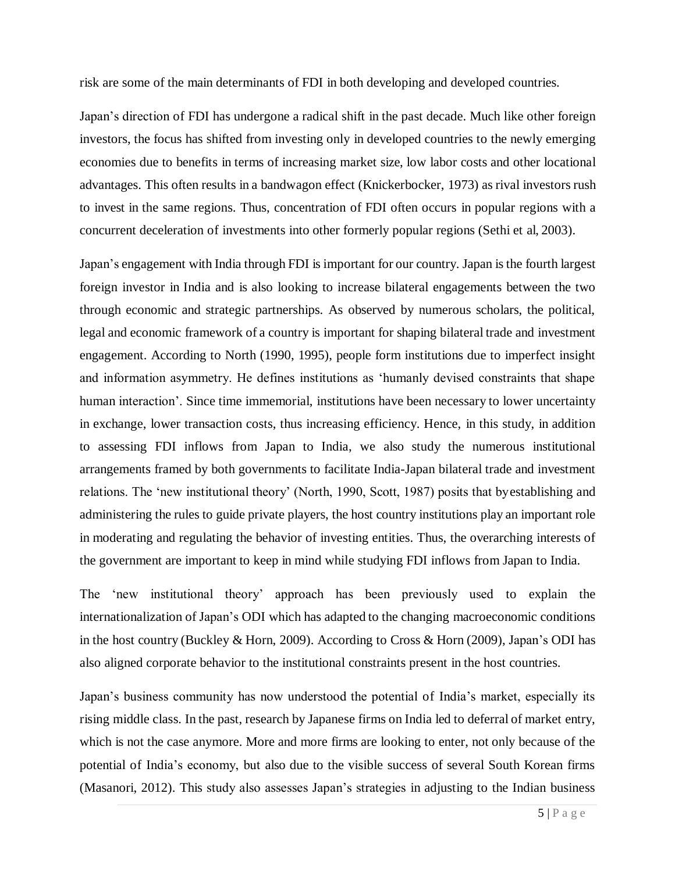risk are some of the main determinants of FDI in both developing and developed countries.

Japan's direction of FDI has undergone a radical shift in the past decade. Much like other foreign investors, the focus has shifted from investing only in developed countries to the newly emerging economies due to benefits in terms of increasing market size, low labor costs and other locational advantages. This often results in a bandwagon effect (Knickerbocker, 1973) as rival investors rush to invest in the same regions. Thus, concentration of FDI often occurs in popular regions with a concurrent deceleration of investments into other formerly popular regions (Sethi et al, 2003).

Japan's engagement with India through FDI is important for our country. Japan isthe fourth largest foreign investor in India and is also looking to increase bilateral engagements between the two through economic and strategic partnerships. As observed by numerous scholars, the political, legal and economic framework of a country is important for shaping bilateral trade and investment engagement. According to North (1990, 1995), people form institutions due to imperfect insight and information asymmetry. He defines institutions as 'humanly devised constraints that shape human interaction'. Since time immemorial, institutions have been necessary to lower uncertainty in exchange, lower transaction costs, thus increasing efficiency. Hence, in this study, in addition to assessing FDI inflows from Japan to India, we also study the numerous institutional arrangements framed by both governments to facilitate India-Japan bilateral trade and investment relations. The 'new institutional theory' (North, 1990, Scott, 1987) posits that byestablishing and administering the rules to guide private players, the host country institutions play an important role in moderating and regulating the behavior of investing entities. Thus, the overarching interests of the government are important to keep in mind while studying FDI inflows from Japan to India.

The 'new institutional theory' approach has been previously used to explain the internationalization of Japan's ODI which has adapted to the changing macroeconomic conditions in the host country (Buckley & Horn, 2009). According to Cross & Horn (2009), Japan's ODI has also aligned corporate behavior to the institutional constraints present in the host countries.

Japan's business community has now understood the potential of India's market, especially its rising middle class. In the past, research by Japanese firms on India led to deferral of market entry, which is not the case anymore. More and more firms are looking to enter, not only because of the potential of India's economy, but also due to the visible success of several South Korean firms (Masanori, 2012). This study also assesses Japan's strategies in adjusting to the Indian business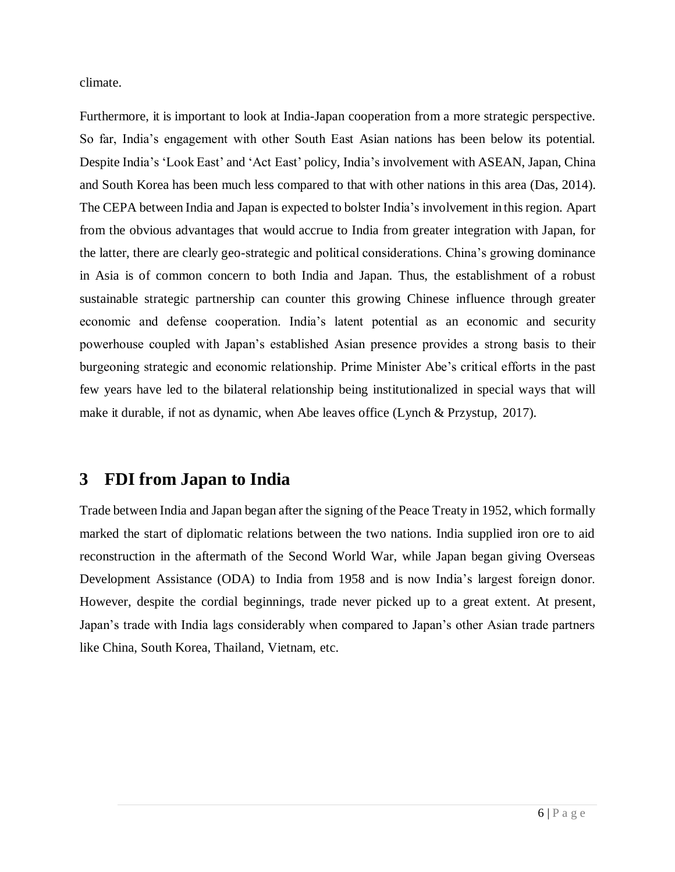climate.

Furthermore, it is important to look at India-Japan cooperation from a more strategic perspective. So far, India's engagement with other South East Asian nations has been below its potential. Despite India's 'Look East' and 'Act East' policy, India's involvement with ASEAN, Japan, China and South Korea has been much less compared to that with other nations in this area (Das, 2014). The CEPA between India and Japan is expected to bolster India's involvement in thisregion. Apart from the obvious advantages that would accrue to India from greater integration with Japan, for the latter, there are clearly geo-strategic and political considerations. China's growing dominance in Asia is of common concern to both India and Japan. Thus, the establishment of a robust sustainable strategic partnership can counter this growing Chinese influence through greater economic and defense cooperation. India's latent potential as an economic and security powerhouse coupled with Japan's established Asian presence provides a strong basis to their burgeoning strategic and economic relationship. Prime Minister Abe's critical efforts in the past few years have led to the bilateral relationship being institutionalized in special ways that will make it durable, if not as dynamic, when Abe leaves office (Lynch & Przystup, 2017).

# **3 FDI from Japan to India**

Trade between India and Japan began after the signing of the Peace Treaty in 1952, which formally marked the start of diplomatic relations between the two nations. India supplied iron ore to aid reconstruction in the aftermath of the Second World War, while Japan began giving Overseas Development Assistance (ODA) to India from 1958 and is now India's largest foreign donor. However, despite the cordial beginnings, trade never picked up to a great extent. At present, Japan's trade with India lags considerably when compared to Japan's other Asian trade partners like China, South Korea, Thailand, Vietnam, etc.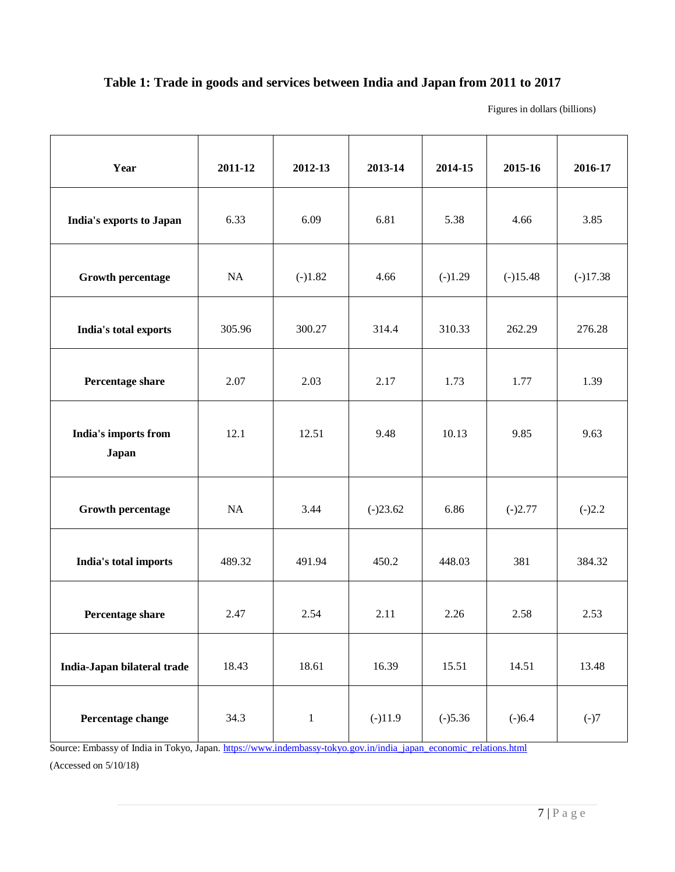### **Table 1: Trade in goods and services between India and Japan from 2011 to 2017**

Figures in dollars (billions)

| Year                                 | 2011-12 | 2012-13      | 2013-14    | 2014-15   | 2015-16    | 2016-17    |
|--------------------------------------|---------|--------------|------------|-----------|------------|------------|
| India's exports to Japan             | 6.33    | 6.09         | 6.81       | 5.38      | 4.66       | 3.85       |
| <b>Growth percentage</b>             | NA      | $(-)1.82$    | 4.66       | $(-)1.29$ | $(-)15.48$ | $(-)17.38$ |
| India's total exports                | 305.96  | 300.27       | 314.4      | 310.33    | 262.29     | 276.28     |
| Percentage share                     | 2.07    | 2.03         | 2.17       | 1.73      | 1.77       | 1.39       |
| India's imports from<br><b>Japan</b> | 12.1    | 12.51        | 9.48       | 10.13     | 9.85       | 9.63       |
| <b>Growth percentage</b>             | NA      | 3.44         | $(-)23.62$ | 6.86      | $(-)2.77$  | $(-)2.2$   |
| India's total imports                | 489.32  | 491.94       | 450.2      | 448.03    | 381        | 384.32     |
| Percentage share                     | 2.47    | 2.54         | 2.11       | 2.26      | 2.58       | 2.53       |
| India-Japan bilateral trade          | 18.43   | 18.61        | 16.39      | 15.51     | 14.51      | 13.48      |
| Percentage change                    | 34.3    | $\mathbf{1}$ | $(-)11.9$  | $(-)5.36$ | $(-)6.4$   | $(-)7$     |

Source: Embassy of India in Tokyo, Japan[. https://www.indembassy-tokyo.gov.in/india\\_japan\\_economic\\_relations.html](https://www.indembassy-tokyo.gov.in/india_japan_economic_relations.html)

(Accessed on 5/10/18)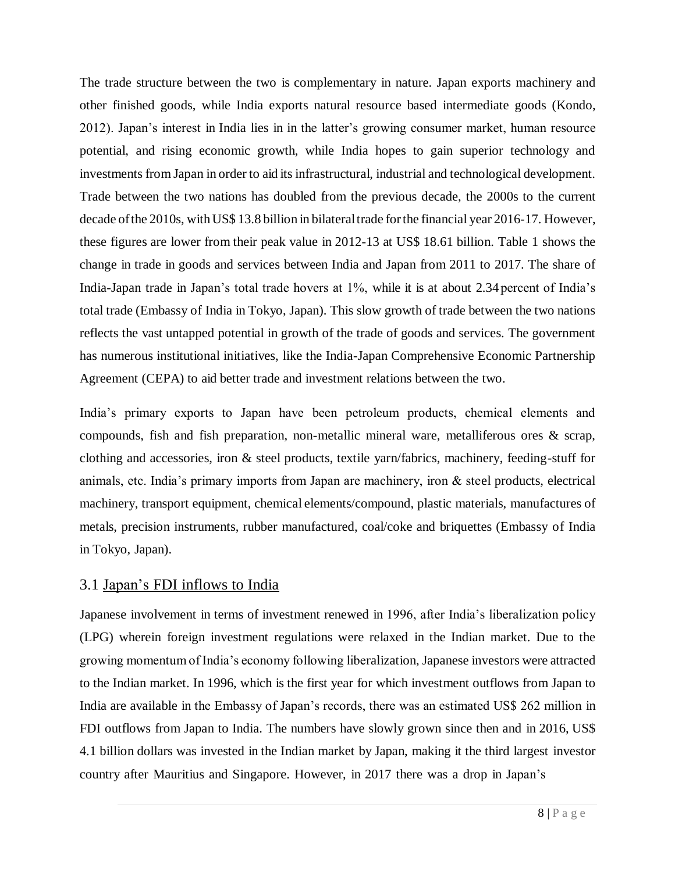The trade structure between the two is complementary in nature. Japan exports machinery and other finished goods, while India exports natural resource based intermediate goods (Kondo, 2012). Japan's interest in India lies in in the latter's growing consumer market, human resource potential, and rising economic growth, while India hopes to gain superior technology and investments from Japan in order to aid its infrastructural, industrial and technological development. Trade between the two nations has doubled from the previous decade, the 2000s to the current decade of the 2010s, with US\$ 13.8 billion in bilateral trade for the financial year 2016-17. However, these figures are lower from their peak value in 2012-13 at US\$ 18.61 billion. Table 1 shows the change in trade in goods and services between India and Japan from 2011 to 2017. The share of India-Japan trade in Japan's total trade hovers at 1%, while it is at about 2.34 percent of India's total trade (Embassy of India in Tokyo, Japan). This slow growth of trade between the two nations reflects the vast untapped potential in growth of the trade of goods and services. The government has numerous institutional initiatives, like the India-Japan Comprehensive Economic Partnership Agreement (CEPA) to aid better trade and investment relations between the two.

India's primary exports to Japan have been petroleum products, chemical elements and compounds, fish and fish preparation, non-metallic mineral ware, metalliferous ores & scrap, clothing and accessories, iron & steel products, textile yarn/fabrics, machinery, feeding-stuff for animals, etc. India's primary imports from Japan are machinery, iron & steel products, electrical machinery, transport equipment, chemical elements/compound, plastic materials, manufactures of metals, precision instruments, rubber manufactured, coal/coke and briquettes (Embassy of India in Tokyo, Japan).

#### 3.1 Japan's FDI inflows to India

Japanese involvement in terms of investment renewed in 1996, after India's liberalization policy (LPG) wherein foreign investment regulations were relaxed in the Indian market. Due to the growing momentum of India's economy following liberalization, Japanese investors were attracted to the Indian market. In 1996, which is the first year for which investment outflows from Japan to India are available in the Embassy of Japan's records, there was an estimated US\$ 262 million in FDI outflows from Japan to India. The numbers have slowly grown since then and in 2016, US\$ 4.1 billion dollars was invested in the Indian market by Japan, making it the third largest investor country after Mauritius and Singapore. However, in 2017 there was a drop in Japan's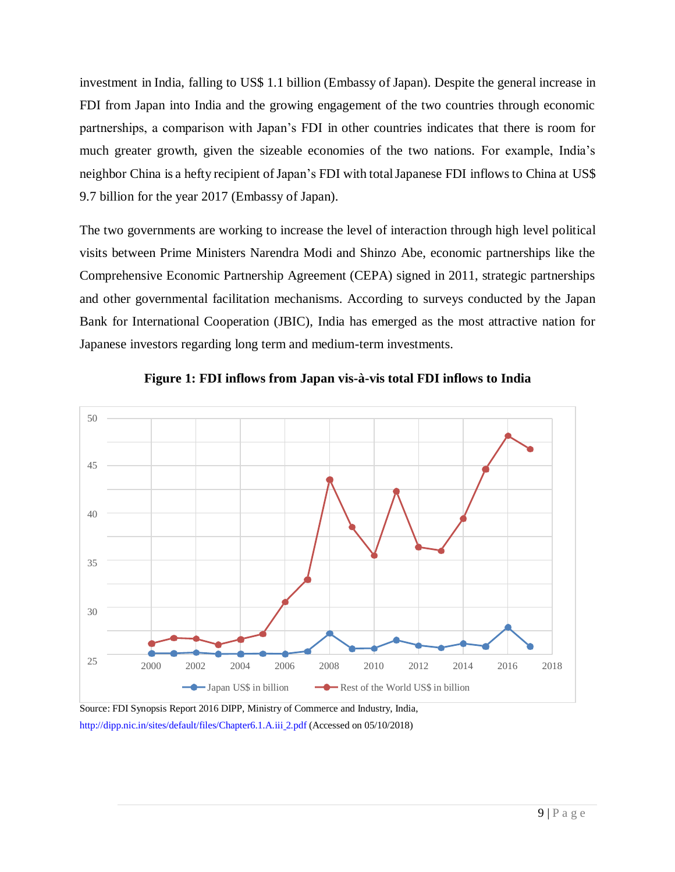investment in India, falling to US\$ 1.1 billion (Embassy of Japan). Despite the general increase in FDI from Japan into India and the growing engagement of the two countries through economic partnerships, a comparison with Japan's FDI in other countries indicates that there is room for much greater growth, given the sizeable economies of the two nations. For example, India's neighbor China is a hefty recipient of Japan's FDI with total Japanese FDI inflows to China at US\$ 9.7 billion for the year 2017 (Embassy of Japan).

The two governments are working to increase the level of interaction through high level political visits between Prime Ministers Narendra Modi and Shinzo Abe, economic partnerships like the Comprehensive Economic Partnership Agreement (CEPA) signed in 2011, strategic partnerships and other governmental facilitation mechanisms. According to surveys conducted by the Japan Bank for International Cooperation (JBIC), India has emerged as the most attractive nation for Japanese investors regarding long term and medium-term investments.





Source: FDI Synopsis Report 2016 DIPP, Ministry of Commerce and Industry, India, [http://dipp.nic.in/sites/default/files/Chapter6.1.A.iii](http://dipp.nic.in/sites/default/files/Chapter6.1.A.iii__2.pdf)\_2.pdf (Accessed on 05/10/2018)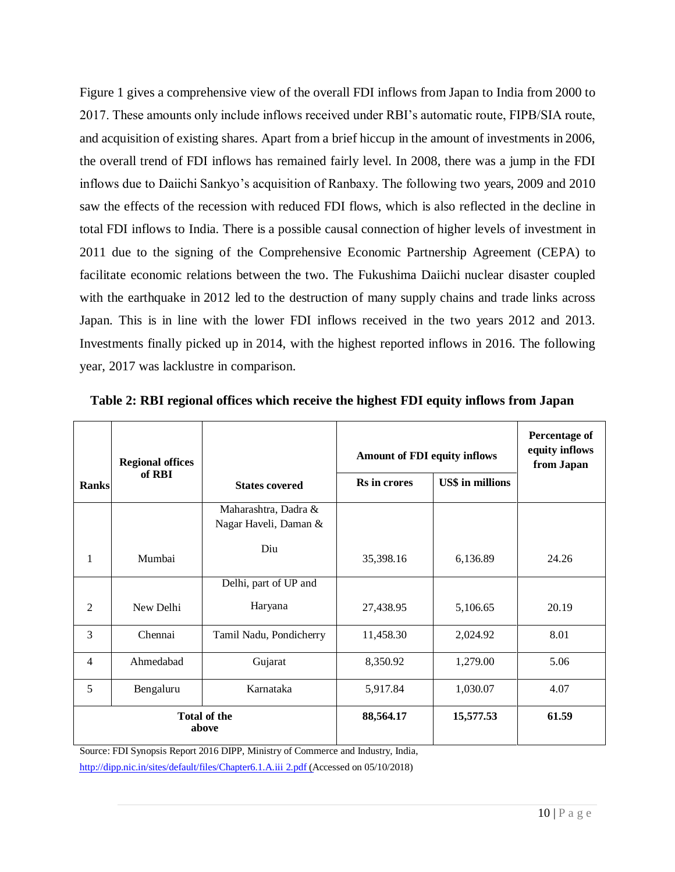Figure 1 gives a comprehensive view of the overall FDI inflows from Japan to India from 2000 to 2017. These amounts only include inflows received under RBI's automatic route, FIPB/SIA route, and acquisition of existing shares. Apart from a brief hiccup in the amount of investments in 2006, the overall trend of FDI inflows has remained fairly level. In 2008, there was a jump in the FDI inflows due to Daiichi Sankyo's acquisition of Ranbaxy. The following two years, 2009 and 2010 saw the effects of the recession with reduced FDI flows, which is also reflected in the decline in total FDI inflows to India. There is a possible causal connection of higher levels of investment in 2011 due to the signing of the Comprehensive Economic Partnership Agreement (CEPA) to facilitate economic relations between the two. The Fukushima Daiichi nuclear disaster coupled with the earthquake in 2012 led to the destruction of many supply chains and trade links across Japan. This is in line with the lower FDI inflows received in the two years 2012 and 2013. Investments finally picked up in 2014, with the highest reported inflows in 2016. The following year, 2017 was lacklustre in comparison.

|                              | <b>Regional offices</b> |                                               | <b>Amount of FDI equity inflows</b> | <b>Percentage of</b><br>equity inflows<br>from Japan |       |
|------------------------------|-------------------------|-----------------------------------------------|-------------------------------------|------------------------------------------------------|-------|
| Ranks                        | of RBI                  | <b>States covered</b>                         | <b>Rs</b> in crores                 | <b>US\$</b> in millions                              |       |
|                              |                         | Maharashtra, Dadra &<br>Nagar Haveli, Daman & |                                     |                                                      |       |
| 1                            | Mumbai                  | Diu                                           | 35,398.16                           | 6,136.89                                             | 24.26 |
|                              |                         | Delhi, part of UP and                         |                                     |                                                      |       |
| 2                            | New Delhi               | Haryana                                       | 27,438.95                           | 5,106.65                                             | 20.19 |
| 3                            | Chennai                 | Tamil Nadu, Pondicherry                       | 11,458.30                           | 2,024.92                                             | 8.01  |
| $\overline{4}$               | Ahmedabad               | Gujarat                                       | 8,350.92                            | 1,279.00                                             | 5.06  |
| 5                            | Bengaluru               | Karnataka                                     | 5,917.84                            | 1,030.07                                             | 4.07  |
| <b>Total of the</b><br>above |                         | 88,564.17                                     | 15,577.53                           | 61.59                                                |       |

**Table 2: RBI regional offices which receive the highest FDI equity inflows from Japan**

Source: FDI Synopsis Report 2016 DIPP, Ministry of Commerce and Industry, India,

[http://dipp.nic.in/sites/default/files/Chapter6.1.A.iii](http://dipp.nic.in/sites/default/files/Chapter6.1.A.iii__2.pdf)\_2.pdf (Accessed on 05/10/2018)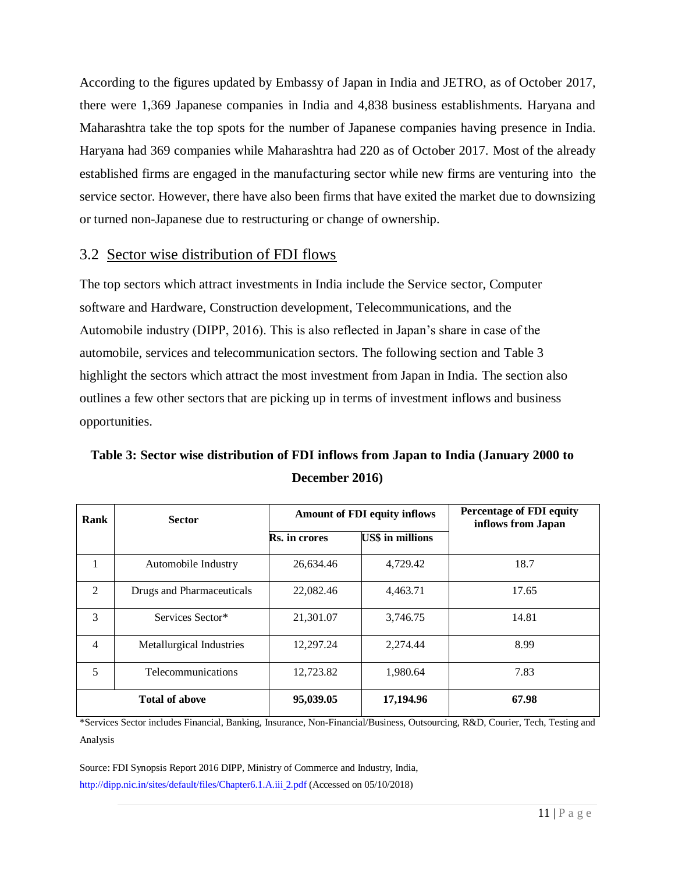According to the figures updated by Embassy of Japan in India and JETRO, as of October 2017, there were 1,369 Japanese companies in India and 4,838 business establishments. Haryana and Maharashtra take the top spots for the number of Japanese companies having presence in India. Haryana had 369 companies while Maharashtra had 220 as of October 2017. Most of the already established firms are engaged in the manufacturing sector while new firms are venturing into the service sector. However, there have also been firms that have exited the market due to downsizing or turned non-Japanese due to restructuring or change of ownership.

### 3.2 Sector wise distribution of FDI flows

The top sectors which attract investments in India include the Service sector, Computer software and Hardware, Construction development, Telecommunications, and the Automobile industry (DIPP, 2016). This is also reflected in Japan's share in case of the automobile, services and telecommunication sectors. The following section and Table 3 highlight the sectors which attract the most investment from Japan in India. The section also outlines a few other sectors that are picking up in terms of investment inflows and business opportunities.

# **Table 3: Sector wise distribution of FDI inflows from Japan to India (January 2000 to December 2016)**

| Rank           | <b>Sector</b>             | <b>Amount of FDI equity inflows</b> |                         | <b>Percentage of FDI equity</b><br>inflows from Japan |  |
|----------------|---------------------------|-------------------------------------|-------------------------|-------------------------------------------------------|--|
|                |                           | <b>Rs.</b> in crores                | <b>US\$</b> in millions |                                                       |  |
| 1              | Automobile Industry       | 26,634.46                           | 4,729.42                | 18.7                                                  |  |
| 2              | Drugs and Pharmaceuticals | 22,082.46                           | 4,463.71                | 17.65                                                 |  |
| 3              | Services Sector*          | 21,301.07                           | 3,746.75                | 14.81                                                 |  |
| $\overline{4}$ | Metallurgical Industries  | 12,297.24                           | 2,274.44                | 8.99                                                  |  |
| 5              | Telecommunications        | 12,723.82                           | 1,980.64                | 7.83                                                  |  |
|                | <b>Total of above</b>     | 95,039.05                           | 17,194.96               | 67.98                                                 |  |

\*Services Sector includes Financial, Banking, Insurance, Non-Financial/Business, Outsourcing, R&D, Courier, Tech, Testing and Analysis

Source: FDI Synopsis Report 2016 DIPP, Ministry of Commerce and Industry, India, [http://dipp.nic.in/sites/default/files/Chapter6.1.A.iii](http://dipp.nic.in/sites/default/files/Chapter6.1.A.iii__2.pdf) 2.pdf (Accessed on 05/10/2018)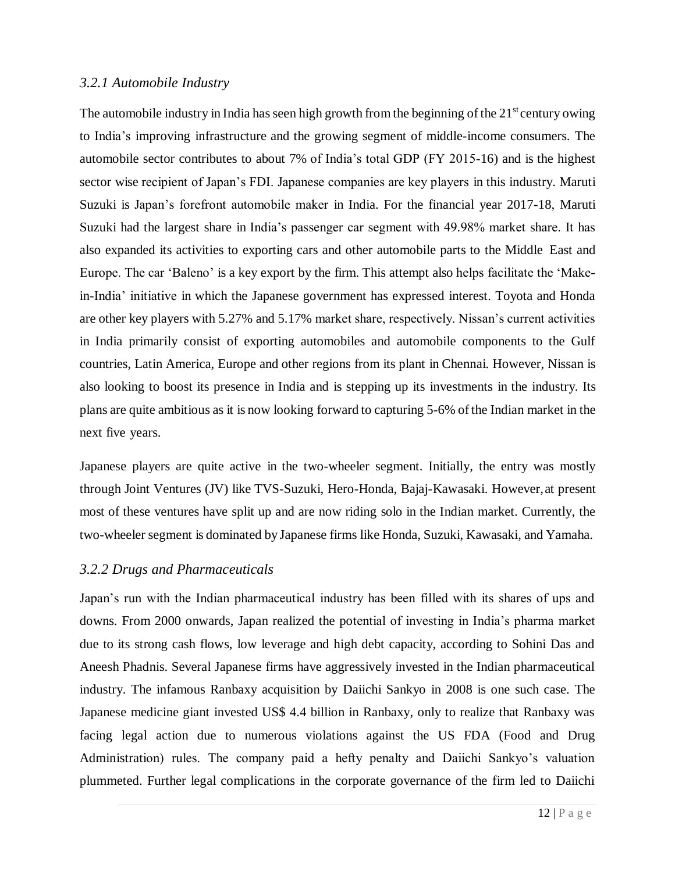#### *3.2.1 Automobile Industry*

The automobile industry in India has seen high growth from the beginning of the  $21<sup>st</sup>$  century owing to India's improving infrastructure and the growing segment of middle-income consumers. The automobile sector contributes to about 7% of India's total GDP (FY 2015-16) and is the highest sector wise recipient of Japan's FDI. Japanese companies are key players in this industry. Maruti Suzuki is Japan's forefront automobile maker in India. For the financial year 2017-18, Maruti Suzuki had the largest share in India's passenger car segment with 49.98% market share. It has also expanded its activities to exporting cars and other automobile parts to the Middle East and Europe. The car 'Baleno' is a key export by the firm. This attempt also helps facilitate the 'Makein-India' initiative in which the Japanese government has expressed interest. Toyota and Honda are other key players with 5.27% and 5.17% market share, respectively. Nissan's current activities in India primarily consist of exporting automobiles and automobile components to the Gulf countries, Latin America, Europe and other regions from its plant in Chennai. However, Nissan is also looking to boost its presence in India and is stepping up its investments in the industry. Its plans are quite ambitious as it is now looking forward to capturing 5-6% ofthe Indian market in the next five years.

Japanese players are quite active in the two-wheeler segment. Initially, the entry was mostly through Joint Ventures (JV) like TVS-Suzuki, Hero-Honda, Bajaj-Kawasaki. However,at present most of these ventures have split up and are now riding solo in the Indian market. Currently, the two-wheeler segment is dominated by Japanese firms like Honda, Suzuki, Kawasaki, and Yamaha.

#### *3.2.2 Drugs and Pharmaceuticals*

Japan's run with the Indian pharmaceutical industry has been filled with its shares of ups and downs. From 2000 onwards, Japan realized the potential of investing in India's pharma market due to its strong cash flows, low leverage and high debt capacity, according to Sohini Das and Aneesh Phadnis. Several Japanese firms have aggressively invested in the Indian pharmaceutical industry. The infamous Ranbaxy acquisition by Daiichi Sankyo in 2008 is one such case. The Japanese medicine giant invested US\$ 4.4 billion in Ranbaxy, only to realize that Ranbaxy was facing legal action due to numerous violations against the US FDA (Food and Drug Administration) rules. The company paid a hefty penalty and Daiichi Sankyo's valuation plummeted. Further legal complications in the corporate governance of the firm led to Daiichi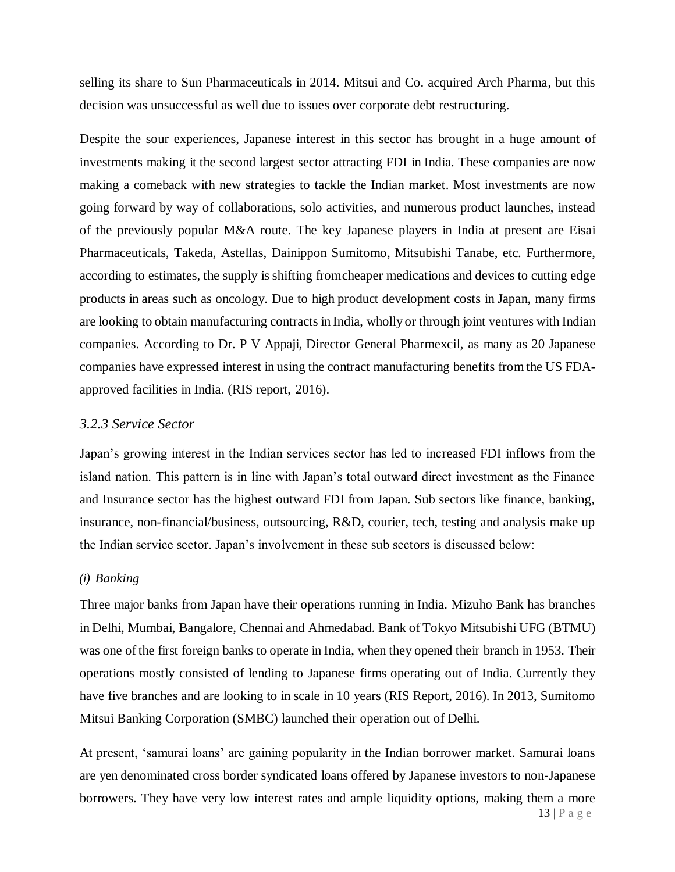selling its share to Sun Pharmaceuticals in 2014. Mitsui and Co. acquired Arch Pharma, but this decision was unsuccessful as well due to issues over corporate debt restructuring.

Despite the sour experiences, Japanese interest in this sector has brought in a huge amount of investments making it the second largest sector attracting FDI in India. These companies are now making a comeback with new strategies to tackle the Indian market. Most investments are now going forward by way of collaborations, solo activities, and numerous product launches, instead of the previously popular M&A route. The key Japanese players in India at present are Eisai Pharmaceuticals, Takeda, Astellas, Dainippon Sumitomo, Mitsubishi Tanabe, etc. Furthermore, according to estimates, the supply is shifting fromcheaper medications and devices to cutting edge products in areas such as oncology. Due to high product development costs in Japan, many firms are looking to obtain manufacturing contracts in India, wholly or through joint ventures with Indian companies. According to Dr. P V Appaji, Director General Pharmexcil, as many as 20 Japanese companies have expressed interest in using the contract manufacturing benefits from the US FDAapproved facilities in India. (RIS report, 2016).

#### *3.2.3 Service Sector*

Japan's growing interest in the Indian services sector has led to increased FDI inflows from the island nation. This pattern is in line with Japan's total outward direct investment as the Finance and Insurance sector has the highest outward FDI from Japan. Sub sectors like finance, banking, insurance, non-financial/business, outsourcing, R&D, courier, tech, testing and analysis make up the Indian service sector. Japan's involvement in these sub sectors is discussed below:

#### *(i) Banking*

Three major banks from Japan have their operations running in India. Mizuho Bank has branches in Delhi, Mumbai, Bangalore, Chennai and Ahmedabad. Bank of Tokyo Mitsubishi UFG (BTMU) was one ofthe first foreign banks to operate in India, when they opened their branch in 1953. Their operations mostly consisted of lending to Japanese firms operating out of India. Currently they have five branches and are looking to in scale in 10 years (RIS Report, 2016). In 2013, Sumitomo Mitsui Banking Corporation (SMBC) launched their operation out of Delhi.

13 | P a g e At present, 'samurai loans' are gaining popularity in the Indian borrower market. Samurai loans are yen denominated cross border syndicated loans offered by Japanese investors to non-Japanese borrowers. They have very low interest rates and ample liquidity options, making them a more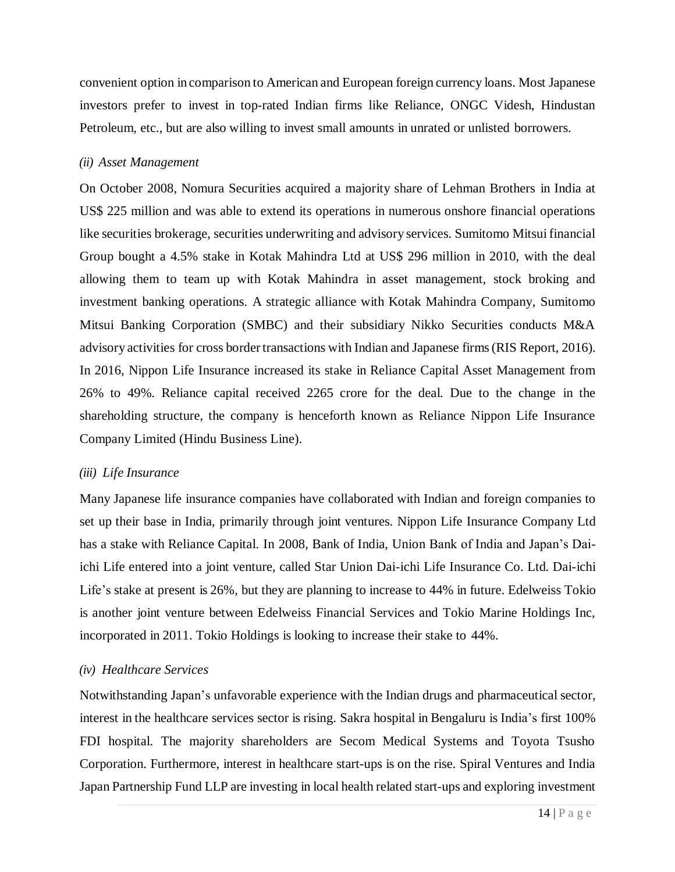convenient option in comparison to American and European foreign currency loans. Most Japanese investors prefer to invest in top-rated Indian firms like Reliance, ONGC Videsh, Hindustan Petroleum, etc., but are also willing to invest small amounts in unrated or unlisted borrowers.

#### *(ii) Asset Management*

On October 2008, Nomura Securities acquired a majority share of Lehman Brothers in India at US\$ 225 million and was able to extend its operations in numerous onshore financial operations like securities brokerage, securities underwriting and advisory services. Sumitomo Mitsui financial Group bought a 4.5% stake in Kotak Mahindra Ltd at US\$ 296 million in 2010, with the deal allowing them to team up with Kotak Mahindra in asset management, stock broking and investment banking operations. A strategic alliance with Kotak Mahindra Company, Sumitomo Mitsui Banking Corporation (SMBC) and their subsidiary Nikko Securities conducts M&A advisory activities for cross border transactions with Indian and Japanese firms (RIS Report, 2016). In 2016, Nippon Life Insurance increased its stake in Reliance Capital Asset Management from 26% to 49%. Reliance capital received 2265 crore for the deal. Due to the change in the shareholding structure, the company is henceforth known as Reliance Nippon Life Insurance Company Limited (Hindu Business Line).

#### *(iii) Life Insurance*

Many Japanese life insurance companies have collaborated with Indian and foreign companies to set up their base in India, primarily through joint ventures. Nippon Life Insurance Company Ltd has a stake with Reliance Capital. In 2008, Bank of India, Union Bank of India and Japan's Daiichi Life entered into a joint venture, called Star Union Dai-ichi Life Insurance Co. Ltd. Dai-ichi Life's stake at present is 26%, but they are planning to increase to 44% in future. Edelweiss Tokio is another joint venture between Edelweiss Financial Services and Tokio Marine Holdings Inc, incorporated in 2011. Tokio Holdings is looking to increase their stake to 44%.

#### *(iv) Healthcare Services*

Notwithstanding Japan's unfavorable experience with the Indian drugs and pharmaceutical sector, interest in the healthcare services sector is rising. Sakra hospital in Bengaluru is India's first 100% FDI hospital. The majority shareholders are Secom Medical Systems and Toyota Tsusho Corporation. Furthermore, interest in healthcare start-ups is on the rise. Spiral Ventures and India Japan Partnership Fund LLP are investing in local health related start-ups and exploring investment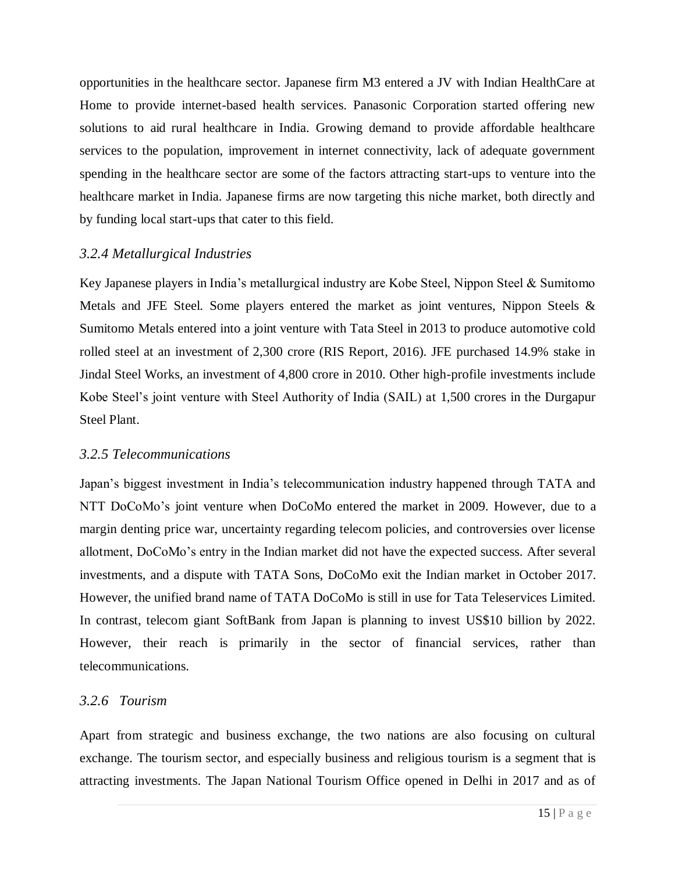opportunities in the healthcare sector. Japanese firm M3 entered a JV with Indian HealthCare at Home to provide internet-based health services. Panasonic Corporation started offering new solutions to aid rural healthcare in India. Growing demand to provide affordable healthcare services to the population, improvement in internet connectivity, lack of adequate government spending in the healthcare sector are some of the factors attracting start-ups to venture into the healthcare market in India. Japanese firms are now targeting this niche market, both directly and by funding local start-ups that cater to this field.

#### *3.2.4 Metallurgical Industries*

Key Japanese players in India's metallurgical industry are Kobe Steel, Nippon Steel & Sumitomo Metals and JFE Steel. Some players entered the market as joint ventures, Nippon Steels & Sumitomo Metals entered into a joint venture with Tata Steel in 2013 to produce automotive cold rolled steel at an investment of 2,300 crore (RIS Report, 2016). JFE purchased 14.9% stake in Jindal Steel Works, an investment of 4,800 crore in 2010. Other high-profile investments include Kobe Steel's joint venture with Steel Authority of India (SAIL) at 1,500 crores in the Durgapur Steel Plant.

#### *3.2.5 Telecommunications*

Japan's biggest investment in India's telecommunication industry happened through TATA and NTT DoCoMo's joint venture when DoCoMo entered the market in 2009. However, due to a margin denting price war, uncertainty regarding telecom policies, and controversies over license allotment, DoCoMo's entry in the Indian market did not have the expected success. After several investments, and a dispute with TATA Sons, DoCoMo exit the Indian market in October 2017. However, the unified brand name of TATA DoCoMo is still in use for Tata Teleservices Limited. In contrast, telecom giant SoftBank from Japan is planning to invest US\$10 billion by 2022. However, their reach is primarily in the sector of financial services, rather than telecommunications.

#### *3.2.6 Tourism*

Apart from strategic and business exchange, the two nations are also focusing on cultural exchange. The tourism sector, and especially business and religious tourism is a segment that is attracting investments. The Japan National Tourism Office opened in Delhi in 2017 and as of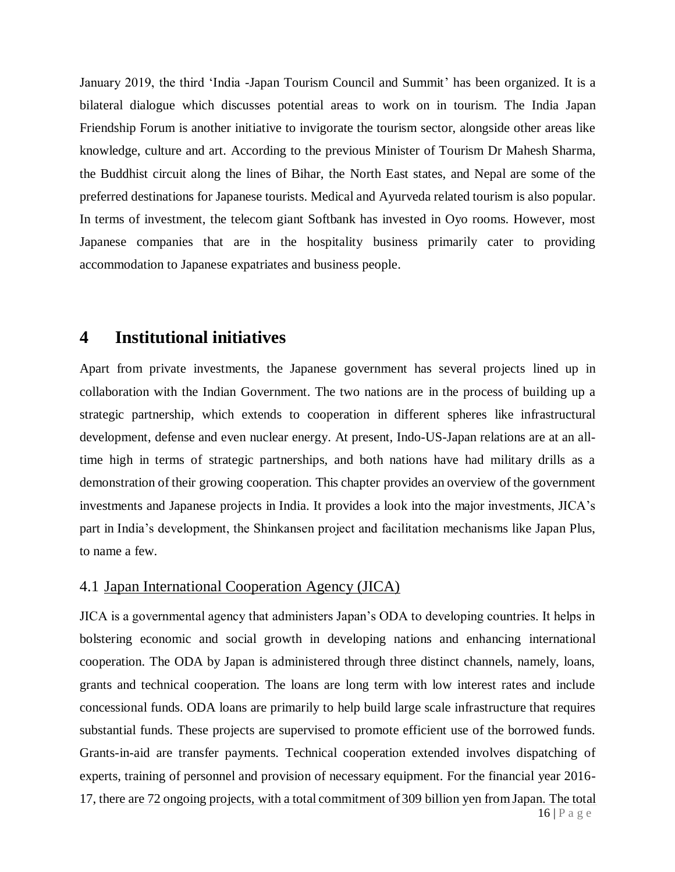January 2019, the third 'India -Japan Tourism Council and Summit' has been organized. It is a bilateral dialogue which discusses potential areas to work on in tourism. The India Japan Friendship Forum is another initiative to invigorate the tourism sector, alongside other areas like knowledge, culture and art. According to the previous Minister of Tourism Dr Mahesh Sharma, the Buddhist circuit along the lines of Bihar, the North East states, and Nepal are some of the preferred destinations for Japanese tourists. Medical and Ayurveda related tourism is also popular. In terms of investment, the telecom giant Softbank has invested in Oyo rooms. However, most Japanese companies that are in the hospitality business primarily cater to providing accommodation to Japanese expatriates and business people.

## **4 Institutional initiatives**

Apart from private investments, the Japanese government has several projects lined up in collaboration with the Indian Government. The two nations are in the process of building up a strategic partnership, which extends to cooperation in different spheres like infrastructural development, defense and even nuclear energy. At present, Indo-US-Japan relations are at an alltime high in terms of strategic partnerships, and both nations have had military drills as a demonstration of their growing cooperation. This chapter provides an overview of the government investments and Japanese projects in India. It provides a look into the major investments, JICA's part in India's development, the Shinkansen project and facilitation mechanisms like Japan Plus, to name a few.

#### 4.1 Japan International Cooperation Agency (JICA)

16 | P a g e JICA is a governmental agency that administers Japan's ODA to developing countries. It helps in bolstering economic and social growth in developing nations and enhancing international cooperation. The ODA by Japan is administered through three distinct channels, namely, loans, grants and technical cooperation. The loans are long term with low interest rates and include concessional funds. ODA loans are primarily to help build large scale infrastructure that requires substantial funds. These projects are supervised to promote efficient use of the borrowed funds. Grants-in-aid are transfer payments. Technical cooperation extended involves dispatching of experts, training of personnel and provision of necessary equipment. For the financial year 2016- 17, there are 72 ongoing projects, with a total commitment of 309 billion yen fromJapan. The total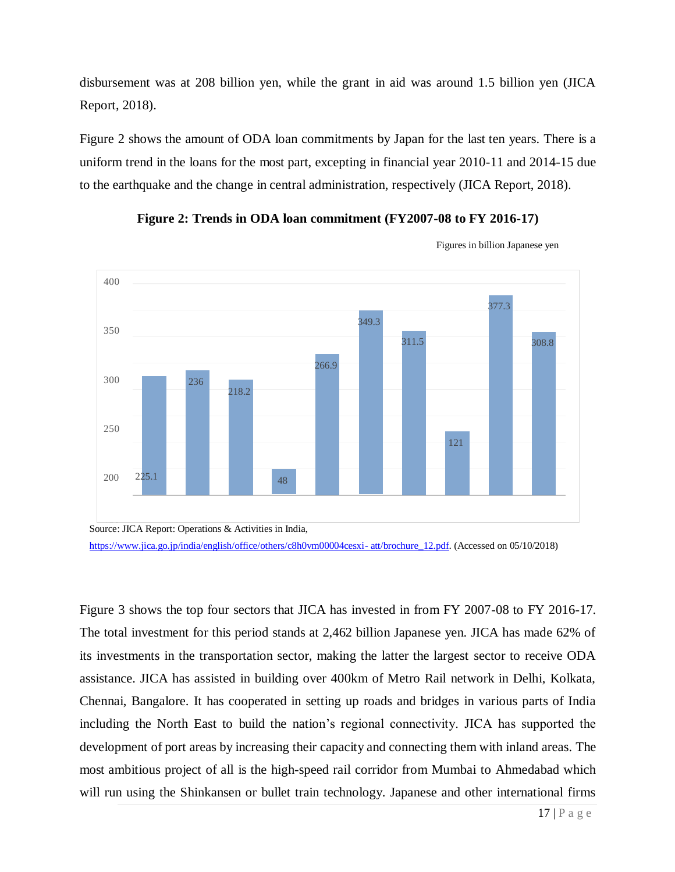disbursement was at 208 billion yen, while the grant in aid was around 1.5 billion yen (JICA Report, 2018).

Figure 2 shows the amount of ODA loan commitments by Japan for the last ten years. There is a uniform trend in the loans for the most part, excepting in financial year 2010-11 and 2014-15 due to the earthquake and the change in central administration, respectively (JICA Report, 2018).





Figures in billion Japanese yen



Figure 3 shows the top four sectors that JICA has invested in from FY 2007-08 to FY 2016-17. The total investment for this period stands at 2,462 billion Japanese yen. JICA has made 62% of its investments in the transportation sector, making the latter the largest sector to receive ODA assistance. JICA has assisted in building over 400km of Metro Rail network in Delhi, Kolkata, Chennai, Bangalore. It has cooperated in setting up roads and bridges in various parts of India including the North East to build the nation's regional connectivity. JICA has supported the development of port areas by increasing their capacity and connecting them with inland areas. The most ambitious project of all is the high-speed rail corridor from Mumbai to Ahmedabad which will run using the Shinkansen or bullet train technology. Japanese and other international firms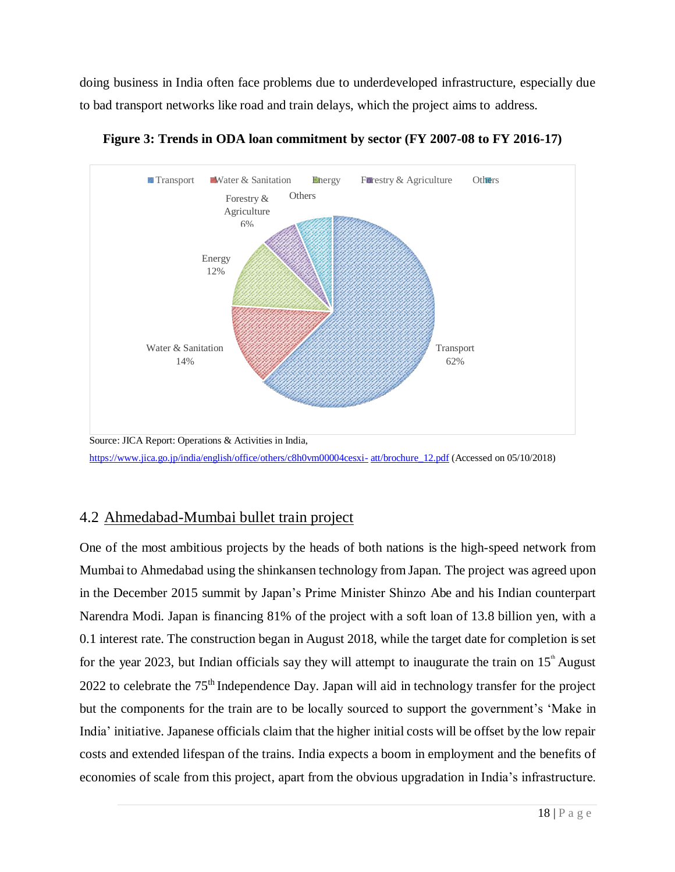doing business in India often face problems due to underdeveloped infrastructure, especially due to bad transport networks like road and train delays, which the project aims to address.



**Figure 3: Trends in ODA loan commitment by sector (FY 2007-08 to FY 2016-17)**

## 4.2 Ahmedabad-Mumbai bullet train project

One of the most ambitious projects by the heads of both nations is the high-speed network from Mumbai to Ahmedabad using the shinkansen technology from Japan. The project was agreed upon in the December 2015 summit by Japan's Prime Minister Shinzo Abe and his Indian counterpart Narendra Modi. Japan is financing 81% of the project with a soft loan of 13.8 billion yen, with a 0.1 interest rate. The construction began in August 2018, while the target date for completion is set for the year 2023, but Indian officials say they will attempt to inaugurate the train on  $15^{\text{th}}$  August 2022 to celebrate the  $75<sup>th</sup>$  Independence Day. Japan will aid in technology transfer for the project but the components for the train are to be locally sourced to support the government's 'Make in India' initiative. Japanese officials claim that the higher initial costs will be offset by the low repair costs and extended lifespan of the trains. India expects a boom in employment and the benefits of economies of scale from this project, apart from the obvious upgradation in India's infrastructure.

[https://www.jica.go.jp/india/english/office/others/c8h0vm00004cesxi-](https://www.jica.go.jp/india/english/office/others/c8h0vm00004cesxi-att/brochure_12.pdf) [att/brochure\\_12.pdf](https://www.jica.go.jp/india/english/office/others/c8h0vm00004cesxi-att/brochure_12.pdf) (Accessed on 05/10/2018)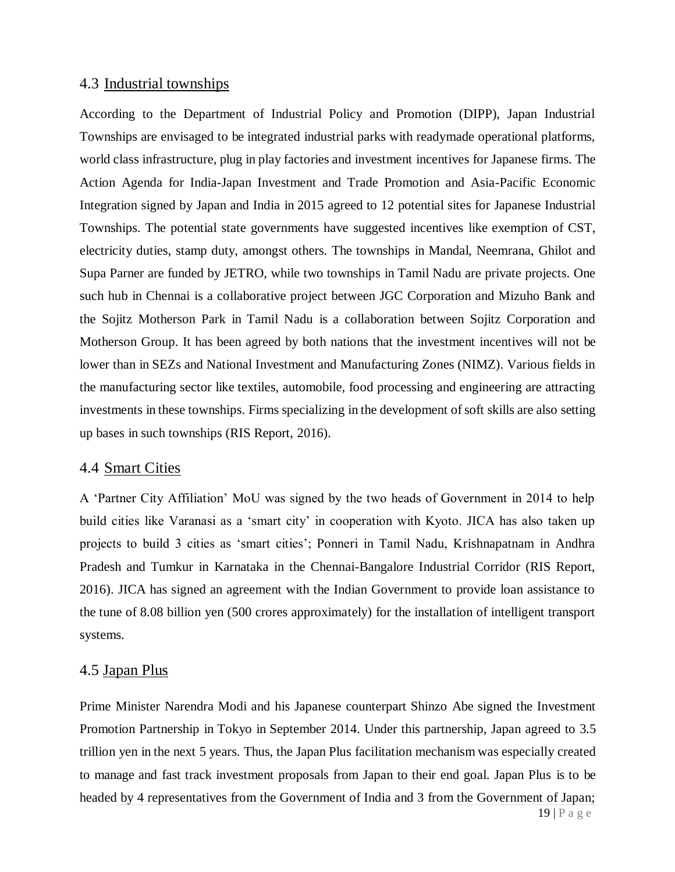#### 4.3 Industrial townships

According to the Department of Industrial Policy and Promotion (DIPP), Japan Industrial Townships are envisaged to be integrated industrial parks with readymade operational platforms, world class infrastructure, plug in play factories and investment incentives for Japanese firms. The Action Agenda for India-Japan Investment and Trade Promotion and Asia-Pacific Economic Integration signed by Japan and India in 2015 agreed to 12 potential sites for Japanese Industrial Townships. The potential state governments have suggested incentives like exemption of CST, electricity duties, stamp duty, amongst others. The townships in Mandal, Neemrana, Ghilot and Supa Parner are funded by JETRO, while two townships in Tamil Nadu are private projects. One such hub in Chennai is a collaborative project between JGC Corporation and Mizuho Bank and the Sojitz Motherson Park in Tamil Nadu is a collaboration between Sojitz Corporation and Motherson Group. It has been agreed by both nations that the investment incentives will not be lower than in SEZs and National Investment and Manufacturing Zones (NIMZ). Various fields in the manufacturing sector like textiles, automobile, food processing and engineering are attracting investments in these townships. Firms specializing in the development of soft skills are also setting up bases in such townships (RIS Report, 2016).

#### 4.4 Smart Cities

A 'Partner City Affiliation' MoU was signed by the two heads of Government in 2014 to help build cities like Varanasi as a 'smart city' in cooperation with Kyoto. JICA has also taken up projects to build 3 cities as 'smart cities'; Ponneri in Tamil Nadu, Krishnapatnam in Andhra Pradesh and Tumkur in Karnataka in the Chennai-Bangalore Industrial Corridor (RIS Report, 2016). JICA has signed an agreement with the Indian Government to provide loan assistance to the tune of 8.08 billion yen (500 crores approximately) for the installation of intelligent transport systems.

#### 4.5 Japan Plus

Prime Minister Narendra Modi and his Japanese counterpart Shinzo Abe signed the Investment Promotion Partnership in Tokyo in September 2014. Under this partnership, Japan agreed to 3.5 trillion yen in the next 5 years. Thus, the Japan Plus facilitation mechanism was especially created to manage and fast track investment proposals from Japan to their end goal. Japan Plus is to be headed by 4 representatives from the Government of India and 3 from the Government of Japan;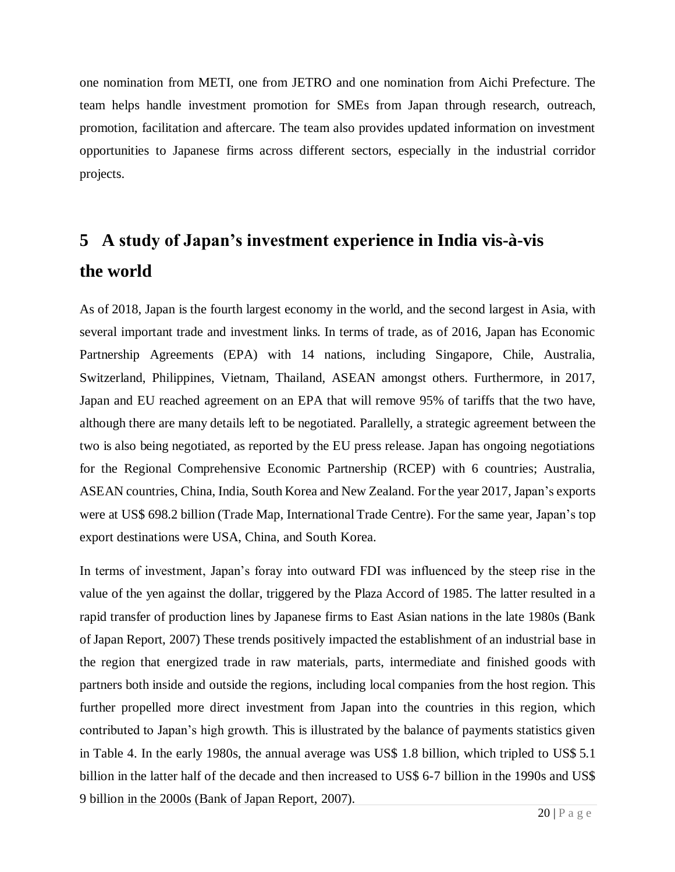one nomination from METI, one from JETRO and one nomination from Aichi Prefecture. The team helps handle investment promotion for SMEs from Japan through research, outreach, promotion, facilitation and aftercare. The team also provides updated information on investment opportunities to Japanese firms across different sectors, especially in the industrial corridor projects.

# **5 A study of Japan's investment experience in India vis-à-vis the world**

As of 2018, Japan is the fourth largest economy in the world, and the second largest in Asia, with several important trade and investment links. In terms of trade, as of 2016, Japan has Economic Partnership Agreements (EPA) with 14 nations, including Singapore, Chile, Australia, Switzerland, Philippines, Vietnam, Thailand, ASEAN amongst others. Furthermore, in 2017, Japan and EU reached agreement on an EPA that will remove 95% of tariffs that the two have, although there are many details left to be negotiated. Parallelly, a strategic agreement between the two is also being negotiated, as reported by the EU press release. Japan has ongoing negotiations for the Regional Comprehensive Economic Partnership (RCEP) with 6 countries; Australia, ASEAN countries, China, India, South Korea and New Zealand. For the year 2017, Japan's exports were at US\$ 698.2 billion (Trade Map, International Trade Centre). For the same year, Japan's top export destinations were USA, China, and South Korea.

In terms of investment, Japan's foray into outward FDI was influenced by the steep rise in the value of the yen against the dollar, triggered by the Plaza Accord of 1985. The latter resulted in a rapid transfer of production lines by Japanese firms to East Asian nations in the late 1980s (Bank ofJapan Report, 2007) These trends positively impacted the establishment of an industrial base in the region that energized trade in raw materials, parts, intermediate and finished goods with partners both inside and outside the regions, including local companies from the host region. This further propelled more direct investment from Japan into the countries in this region, which contributed to Japan's high growth. This is illustrated by the balance of payments statistics given in Table 4. In the early 1980s, the annual average was US\$ 1.8 billion, which tripled to US\$ 5.1 billion in the latter half of the decade and then increased to US\$ 6-7 billion in the 1990s and US\$ 9 billion in the 2000s (Bank of Japan Report, 2007).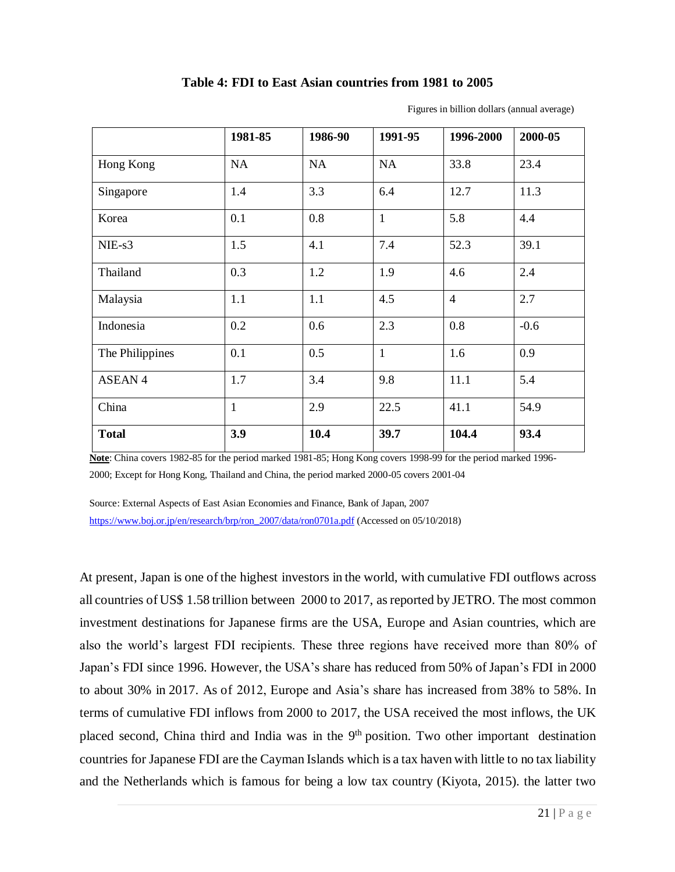#### **Table 4: FDI to East Asian countries from 1981 to 2005**

|                 | 1981-85      | 1986-90 | 1991-95      | 1996-2000      | 2000-05 |
|-----------------|--------------|---------|--------------|----------------|---------|
| Hong Kong       | <b>NA</b>    | NA      | NA           | 33.8           | 23.4    |
| Singapore       | 1.4          | 3.3     | 6.4          | 12.7           | 11.3    |
| Korea           | 0.1          | 0.8     | $\mathbf{1}$ | 5.8            | 4.4     |
| $NIE-s3$        | 1.5          | 4.1     | 7.4          | 52.3           | 39.1    |
| Thailand        | 0.3          | 1.2     | 1.9          | 4.6            | 2.4     |
| Malaysia        | 1.1          | 1.1     | 4.5          | $\overline{4}$ | 2.7     |
| Indonesia       | 0.2          | 0.6     | 2.3          | 0.8            | $-0.6$  |
| The Philippines | 0.1          | 0.5     | $\mathbf{1}$ | 1.6            | 0.9     |
| <b>ASEAN4</b>   | 1.7          | 3.4     | 9.8          | 11.1           | 5.4     |
| China           | $\mathbf{1}$ | 2.9     | 22.5         | 41.1           | 54.9    |
| <b>Total</b>    | 3.9          | 10.4    | 39.7         | 104.4          | 93.4    |

Figures in billion dollars (annual average)

**Note**: China covers 1982-85 for the period marked 1981-85; Hong Kong covers 1998-99 for the period marked 1996- 2000; Except for Hong Kong, Thailand and China, the period marked 2000-05 covers 2001-04

Source: External Aspects of East Asian Economies and Finance, Bank of Japan, 2007 [https://www.boj.or.jp/en/research/brp/ron\\_2007/data/ron0701a.pdf](https://www.boj.or.jp/en/research/brp/ron_2007/data/ron0701a.pdf) (Accessed on 05/10/2018)

At present, Japan is one of the highest investors in the world, with cumulative FDI outflows across all countries of US\$ 1.58 trillion between 2000 to 2017, asreported by JETRO. The most common investment destinations for Japanese firms are the USA, Europe and Asian countries, which are also the world's largest FDI recipients. These three regions have received more than 80% of Japan's FDI since 1996. However, the USA's share has reduced from 50% of Japan's FDI in 2000 to about 30% in 2017. As of 2012, Europe and Asia's share has increased from 38% to 58%. In terms of cumulative FDI inflows from 2000 to 2017, the USA received the most inflows, the UK placed second, China third and India was in the 9<sup>th</sup> position. Two other important destination countries for Japanese FDI are the Cayman Islands which is a tax haven with little to no tax liability and the Netherlands which is famous for being a low tax country (Kiyota, 2015). the latter two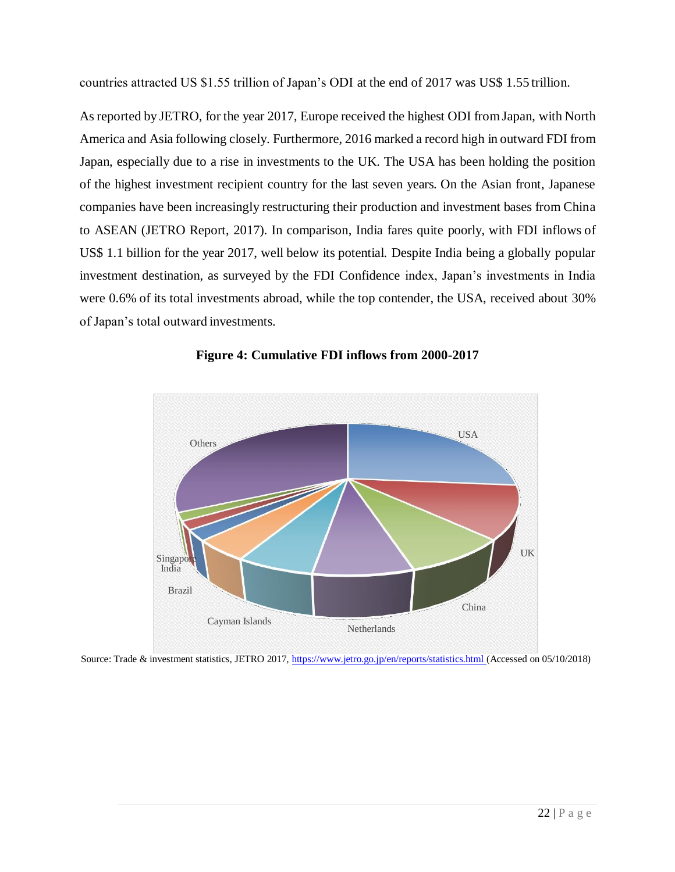countries attracted US \$1.55 trillion of Japan's ODI at the end of 2017 was US\$ 1.55 trillion.

Asreported by JETRO, for the year 2017, Europe received the highest ODI fromJapan, with North America and Asia following closely. Furthermore, 2016 marked a record high in outward FDI from Japan, especially due to a rise in investments to the UK. The USA has been holding the position of the highest investment recipient country for the last seven years. On the Asian front, Japanese companies have been increasingly restructuring their production and investment bases from China to ASEAN (JETRO Report, 2017). In comparison, India fares quite poorly, with FDI inflows of US\$ 1.1 billion for the year 2017, well below its potential. Despite India being a globally popular investment destination, as surveyed by the FDI Confidence index, Japan's investments in India were 0.6% of its total investments abroad, while the top contender, the USA, received about 30% of Japan's total outward investments.



**Figure 4: Cumulative FDI inflows from 2000-2017**

Source: Trade & investment statistics, JETRO 2017[, https://www.jetro.go.jp/en/reports/statistics.html \(](https://www.jetro.go.jp/en/reports/statistics.html)Accessed on 05/10/2018)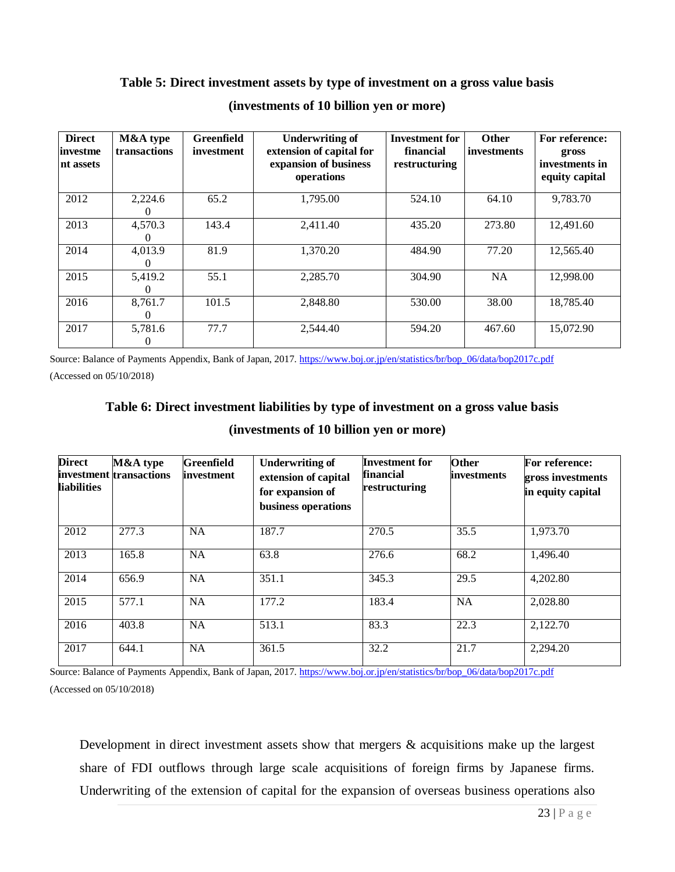#### **Table 5: Direct investment assets by type of investment on a gross value basis**

| <b>Direct</b><br><i>investme</i><br>nt assets | M&A type<br>transactions | Greenfield<br>investment | <b>Underwriting of</b><br>extension of capital for<br>expansion of business<br>operations | <b>Investment for</b><br>financial<br>restructuring | <b>Other</b><br>investments | For reference:<br>gross<br>investments in<br>equity capital |
|-----------------------------------------------|--------------------------|--------------------------|-------------------------------------------------------------------------------------------|-----------------------------------------------------|-----------------------------|-------------------------------------------------------------|
| 2012                                          | 2,224.6<br>0             | 65.2                     | 1,795.00                                                                                  | 524.10                                              | 64.10                       | 9,783.70                                                    |
| 2013                                          | 4,570.3                  | 143.4                    | 2,411.40                                                                                  | 435.20                                              | 273.80                      | 12,491.60                                                   |
| 2014                                          | 4,013.9<br>0             | 81.9                     | 1,370.20                                                                                  | 484.90                                              | 77.20                       | 12,565.40                                                   |
| 2015                                          | 5,419.2<br>$\theta$      | 55.1                     | 2,285.70                                                                                  | 304.90                                              | <b>NA</b>                   | 12,998.00                                                   |
| 2016                                          | 8,761.7<br>0             | 101.5                    | 2,848.80                                                                                  | 530.00                                              | 38.00                       | 18,785.40                                                   |
| 2017                                          | 5,781.6<br>0             | 77.7                     | 2,544.40                                                                                  | 594.20                                              | 467.60                      | 15,072.90                                                   |

#### **(investments of 10 billion yen or more)**

Source: Balance of Payments Appendix, Bank of Japan, 2017[. https://www.boj.or.jp/en/statistics/br/bop\\_06/data/bop2017c.pdf](https://www.boj.or.jp/en/statistics/br/bop_06/data/bop2017c.pdf) (Accessed on 05/10/2018)

# **Table 6: Direct investment liabilities by type of investment on a gross value basis (investments of 10 billion yen or more)**

| <b>Direct</b><br><b>liabilities</b> | M&A type<br>investment transactions | <b>Greenfield</b><br>investment | <b>Underwriting of</b><br>extension of capital<br>for expansion of<br>business operations | <b>Investment for</b><br>financial<br>restructuring | Other<br>investments | For reference:<br>gross investments<br>in equity capital |
|-------------------------------------|-------------------------------------|---------------------------------|-------------------------------------------------------------------------------------------|-----------------------------------------------------|----------------------|----------------------------------------------------------|
| 2012                                | 277.3                               | <b>NA</b>                       | 187.7                                                                                     | 270.5                                               | 35.5                 | 1,973.70                                                 |
| 2013                                | 165.8                               | <b>NA</b>                       | 63.8                                                                                      | 276.6                                               | 68.2                 | 1,496.40                                                 |
| 2014                                | 656.9                               | <b>NA</b>                       | 351.1                                                                                     | 345.3                                               | $\overline{29.5}$    | 4,202.80                                                 |
| 2015                                | 577.1                               | <b>NA</b>                       | 177.2                                                                                     | 183.4                                               | <b>NA</b>            | 2,028.80                                                 |
| 2016                                | 403.8                               | <b>NA</b>                       | 513.1                                                                                     | 83.3                                                | 22.3                 | 2,122.70                                                 |
| 2017                                | 644.1                               | <b>NA</b>                       | 361.5                                                                                     | 32.2                                                | 21.7                 | 2,294.20                                                 |

Source: Balance of Payments Appendix, Bank of Japan, 2017[. https://www.boj.or.jp/en/statistics/br/bop\\_06/data/bop2017c.pdf](https://www.boj.or.jp/en/statistics/br/bop_06/data/bop2017c.pdf) (Accessed on 05/10/2018)

Development in direct investment assets show that mergers & acquisitions make up the largest share of FDI outflows through large scale acquisitions of foreign firms by Japanese firms. Underwriting of the extension of capital for the expansion of overseas business operations also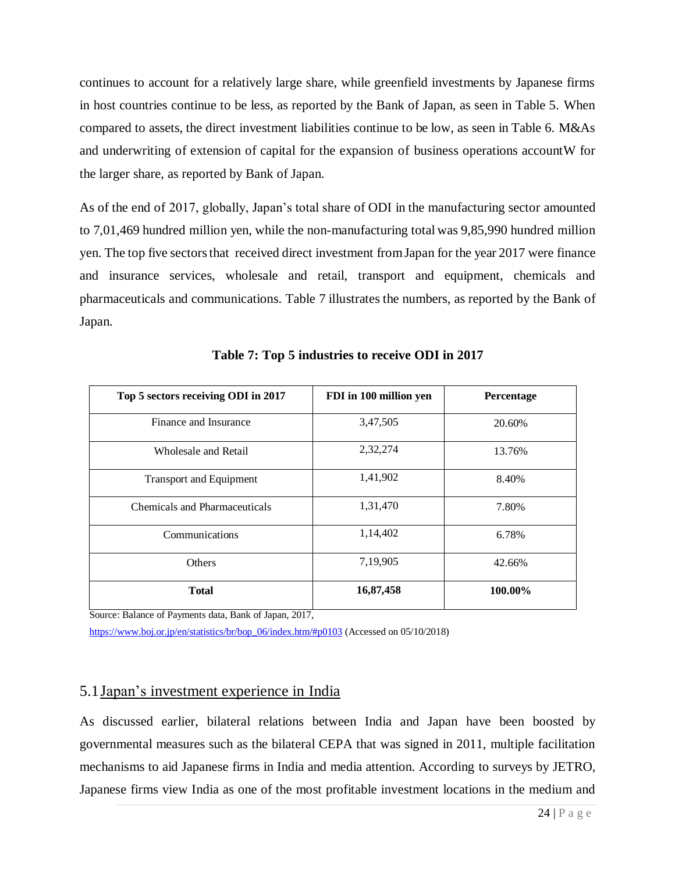continues to account for a relatively large share, while greenfield investments by Japanese firms in host countries continue to be less, as reported by the Bank of Japan, as seen in Table 5. When compared to assets, the direct investment liabilities continue to be low, as seen in Table 6. M&As and underwriting of extension of capital for the expansion of business operations accountW for the larger share, as reported by Bank of Japan.

As of the end of 2017, globally, Japan's total share of ODI in the manufacturing sector amounted to 7,01,469 hundred million yen, while the non-manufacturing total was 9,85,990 hundred million yen. The top five sectors that received direct investment from Japan for the year 2017 were finance and insurance services, wholesale and retail, transport and equipment, chemicals and pharmaceuticals and communications. Table 7 illustrates the numbers, as reported by the Bank of Japan.

| Top 5 sectors receiving ODI in 2017  | FDI in 100 million yen | <b>Percentage</b> |  |
|--------------------------------------|------------------------|-------------------|--|
| Finance and Insurance                | 3,47,505               | 20.60%            |  |
| Wholesale and Retail                 | 2,32,274               | 13.76%            |  |
| <b>Transport and Equipment</b>       | 1,41,902               | 8.40%             |  |
| <b>Chemicals and Pharmaceuticals</b> | 1,31,470               | 7.80%             |  |
| Communications                       | 1,14,402               | 6.78%             |  |
| <b>Others</b>                        | 7,19,905               | 42.66%            |  |
| <b>Total</b>                         | 16,87,458              | 100.00%           |  |

**Table 7: Top 5 industries to receive ODI in 2017**

Source: Balance of Payments data, Bank of Japan, 2017,

[https://www.boj.or.jp/en/statistics/br/bop\\_06/index.htm/#p0103](https://www.boj.or.jp/en/statistics/br/bop_06/index.htm/#p0103) (Accessed on 05/10/2018)

#### 5.1Japan's investment experience in India

As discussed earlier, bilateral relations between India and Japan have been boosted by governmental measures such as the bilateral CEPA that was signed in 2011, multiple facilitation mechanisms to aid Japanese firms in India and media attention. According to surveys by JETRO, Japanese firms view India as one of the most profitable investment locations in the medium and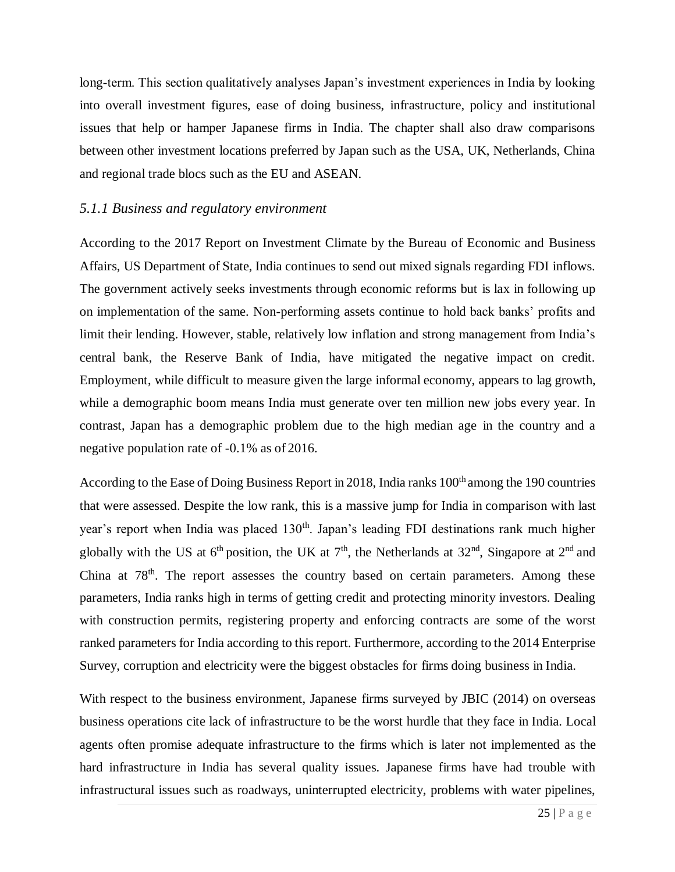long-term. This section qualitatively analyses Japan's investment experiences in India by looking into overall investment figures, ease of doing business, infrastructure, policy and institutional issues that help or hamper Japanese firms in India. The chapter shall also draw comparisons between other investment locations preferred by Japan such as the USA, UK, Netherlands, China and regional trade blocs such as the EU and ASEAN.

#### *5.1.1 Business and regulatory environment*

According to the 2017 Report on Investment Climate by the Bureau of Economic and Business Affairs, US Department of State, India continues to send out mixed signals regarding FDI inflows. The government actively seeks investments through economic reforms but is lax in following up on implementation of the same. Non-performing assets continue to hold back banks' profits and limit their lending. However, stable, relatively low inflation and strong management from India's central bank, the Reserve Bank of India, have mitigated the negative impact on credit. Employment, while difficult to measure given the large informal economy, appears to lag growth, while a demographic boom means India must generate over ten million new jobs every year. In contrast, Japan has a demographic problem due to the high median age in the country and a negative population rate of -0.1% as of 2016.

According to the Ease of Doing Business Report in 2018, India ranks 100<sup>th</sup> among the 190 countries that were assessed. Despite the low rank, this is a massive jump for India in comparison with last year's report when India was placed 130<sup>th</sup>. Japan's leading FDI destinations rank much higher globally with the US at  $6<sup>th</sup>$  position, the UK at  $7<sup>th</sup>$ , the Netherlands at  $32<sup>nd</sup>$ , Singapore at  $2<sup>nd</sup>$  and China at 78<sup>th</sup>. The report assesses the country based on certain parameters. Among these parameters, India ranks high in terms of getting credit and protecting minority investors. Dealing with construction permits, registering property and enforcing contracts are some of the worst ranked parameters for India according to this report. Furthermore, according to the 2014 Enterprise Survey, corruption and electricity were the biggest obstacles for firms doing business in India.

With respect to the business environment, Japanese firms surveyed by JBIC (2014) on overseas business operations cite lack of infrastructure to be the worst hurdle that they face in India. Local agents often promise adequate infrastructure to the firms which is later not implemented as the hard infrastructure in India has several quality issues. Japanese firms have had trouble with infrastructural issues such as roadways, uninterrupted electricity, problems with water pipelines,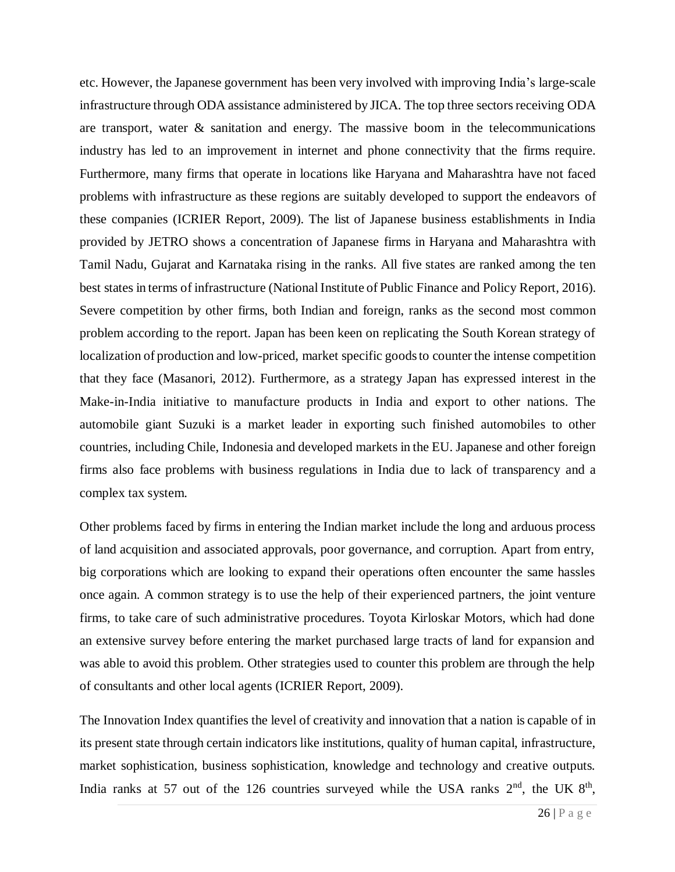etc. However, the Japanese government has been very involved with improving India's large-scale infrastructure through ODA assistance administered by JICA. The top three sectors receiving ODA are transport, water  $\&$  sanitation and energy. The massive boom in the telecommunications industry has led to an improvement in internet and phone connectivity that the firms require. Furthermore, many firms that operate in locations like Haryana and Maharashtra have not faced problems with infrastructure as these regions are suitably developed to support the endeavors of these companies (ICRIER Report, 2009). The list of Japanese business establishments in India provided by JETRO shows a concentration of Japanese firms in Haryana and Maharashtra with Tamil Nadu, Gujarat and Karnataka rising in the ranks. All five states are ranked among the ten best states in terms of infrastructure (National Institute of Public Finance and Policy Report, 2016). Severe competition by other firms, both Indian and foreign, ranks as the second most common problem according to the report. Japan has been keen on replicating the South Korean strategy of localization of production and low-priced, market specific goods to counter the intense competition that they face (Masanori, 2012). Furthermore, as a strategy Japan has expressed interest in the Make-in-India initiative to manufacture products in India and export to other nations. The automobile giant Suzuki is a market leader in exporting such finished automobiles to other countries, including Chile, Indonesia and developed markets in the EU. Japanese and other foreign firms also face problems with business regulations in India due to lack of transparency and a complex tax system.

Other problems faced by firms in entering the Indian market include the long and arduous process of land acquisition and associated approvals, poor governance, and corruption. Apart from entry, big corporations which are looking to expand their operations often encounter the same hassles once again. A common strategy is to use the help of their experienced partners, the joint venture firms, to take care of such administrative procedures. Toyota Kirloskar Motors, which had done an extensive survey before entering the market purchased large tracts of land for expansion and was able to avoid this problem. Other strategies used to counter this problem are through the help of consultants and other local agents (ICRIER Report, 2009).

The Innovation Index quantifies the level of creativity and innovation that a nation is capable of in its present state through certain indicators like institutions, quality of human capital, infrastructure, market sophistication, business sophistication, knowledge and technology and creative outputs. India ranks at 57 out of the 126 countries surveyed while the USA ranks  $2<sup>nd</sup>$ , the UK  $8<sup>th</sup>$ ,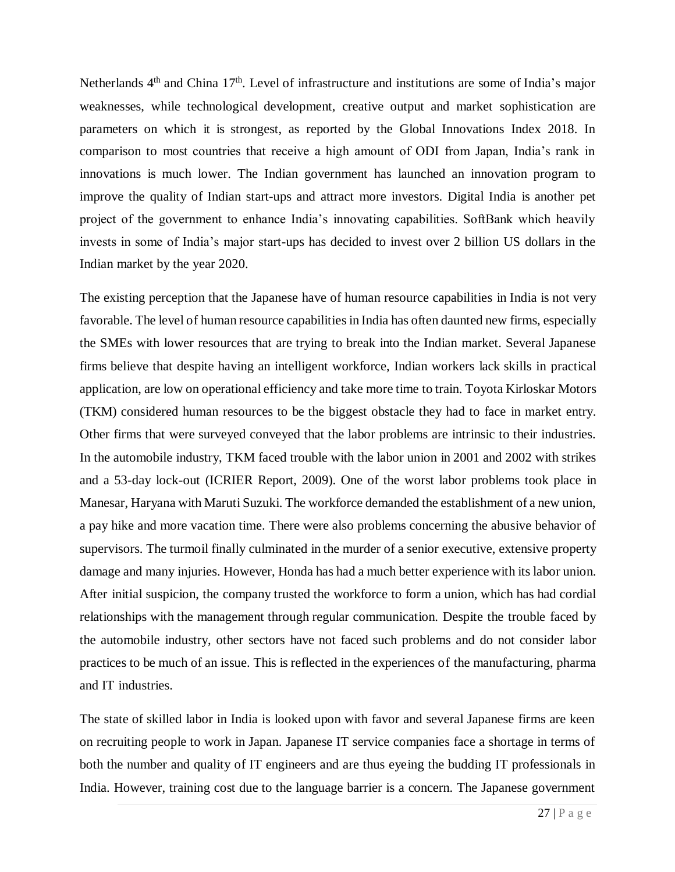Netherlands  $4<sup>th</sup>$  and China 17<sup>th</sup>. Level of infrastructure and institutions are some of India's major weaknesses, while technological development, creative output and market sophistication are parameters on which it is strongest, as reported by the Global Innovations Index 2018. In comparison to most countries that receive a high amount of ODI from Japan, India's rank in innovations is much lower. The Indian government has launched an innovation program to improve the quality of Indian start-ups and attract more investors. Digital India is another pet project of the government to enhance India's innovating capabilities. SoftBank which heavily invests in some of India's major start-ups has decided to invest over 2 billion US dollars in the Indian market by the year 2020.

The existing perception that the Japanese have of human resource capabilities in India is not very favorable. The level of human resource capabilities in India has often daunted new firms, especially the SMEs with lower resources that are trying to break into the Indian market. Several Japanese firms believe that despite having an intelligent workforce, Indian workers lack skills in practical application, are low on operational efficiency and take more time to train. Toyota Kirloskar Motors (TKM) considered human resources to be the biggest obstacle they had to face in market entry. Other firms that were surveyed conveyed that the labor problems are intrinsic to their industries. In the automobile industry, TKM faced trouble with the labor union in 2001 and 2002 with strikes and a 53-day lock-out (ICRIER Report, 2009). One of the worst labor problems took place in Manesar, Haryana with Maruti Suzuki. The workforce demanded the establishment of a new union, a pay hike and more vacation time. There were also problems concerning the abusive behavior of supervisors. The turmoil finally culminated in the murder of a senior executive, extensive property damage and many injuries. However, Honda has had a much better experience with its labor union. After initial suspicion, the company trusted the workforce to form a union, which has had cordial relationships with the management through regular communication. Despite the trouble faced by the automobile industry, other sectors have not faced such problems and do not consider labor practices to be much of an issue. This is reflected in the experiences of the manufacturing, pharma and IT industries.

The state of skilled labor in India is looked upon with favor and several Japanese firms are keen on recruiting people to work in Japan. Japanese IT service companies face a shortage in terms of both the number and quality of IT engineers and are thus eyeing the budding IT professionals in India. However, training cost due to the language barrier is a concern. The Japanese government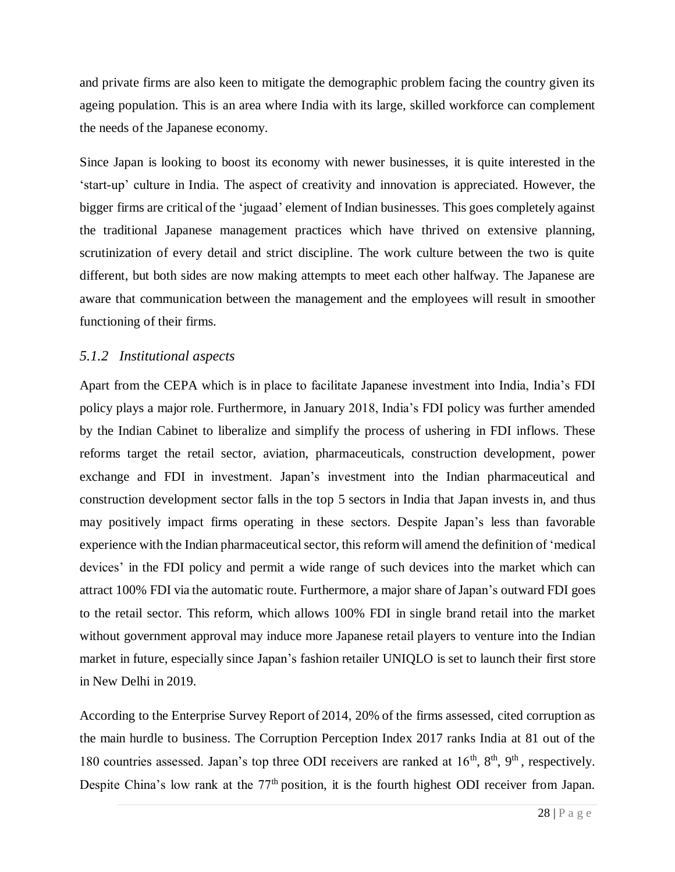and private firms are also keen to mitigate the demographic problem facing the country given its ageing population. This is an area where India with its large, skilled workforce can complement the needs of the Japanese economy.

Since Japan is looking to boost its economy with newer businesses, it is quite interested in the 'start-up' culture in India. The aspect of creativity and innovation is appreciated. However, the bigger firms are critical of the 'jugaad' element of Indian businesses. This goes completely against the traditional Japanese management practices which have thrived on extensive planning, scrutinization of every detail and strict discipline. The work culture between the two is quite different, but both sides are now making attempts to meet each other halfway. The Japanese are aware that communication between the management and the employees will result in smoother functioning of their firms.

#### *5.1.2 Institutional aspects*

Apart from the CEPA which is in place to facilitate Japanese investment into India, India's FDI policy plays a major role. Furthermore, in January 2018, India's FDI policy was further amended by the Indian Cabinet to liberalize and simplify the process of ushering in FDI inflows. These reforms target the retail sector, aviation, pharmaceuticals, construction development, power exchange and FDI in investment. Japan's investment into the Indian pharmaceutical and construction development sector falls in the top 5 sectors in India that Japan invests in, and thus may positively impact firms operating in these sectors. Despite Japan's less than favorable experience with the Indian pharmaceutical sector, this reform will amend the definition of 'medical devices' in the FDI policy and permit a wide range of such devices into the market which can attract 100% FDI via the automatic route. Furthermore, a major share ofJapan's outward FDI goes to the retail sector. This reform, which allows 100% FDI in single brand retail into the market without government approval may induce more Japanese retail players to venture into the Indian market in future, especially since Japan's fashion retailer UNIQLO is set to launch their first store in New Delhi in 2019.

According to the Enterprise Survey Report of 2014, 20% of the firms assessed, cited corruption as the main hurdle to business. The Corruption Perception Index 2017 ranks India at 81 out of the 180 countries assessed. Japan's top three ODI receivers are ranked at 16<sup>th</sup>, 8<sup>th</sup>, 9<sup>th</sup>, respectively. Despite China's low rank at the 77<sup>th</sup> position, it is the fourth highest ODI receiver from Japan.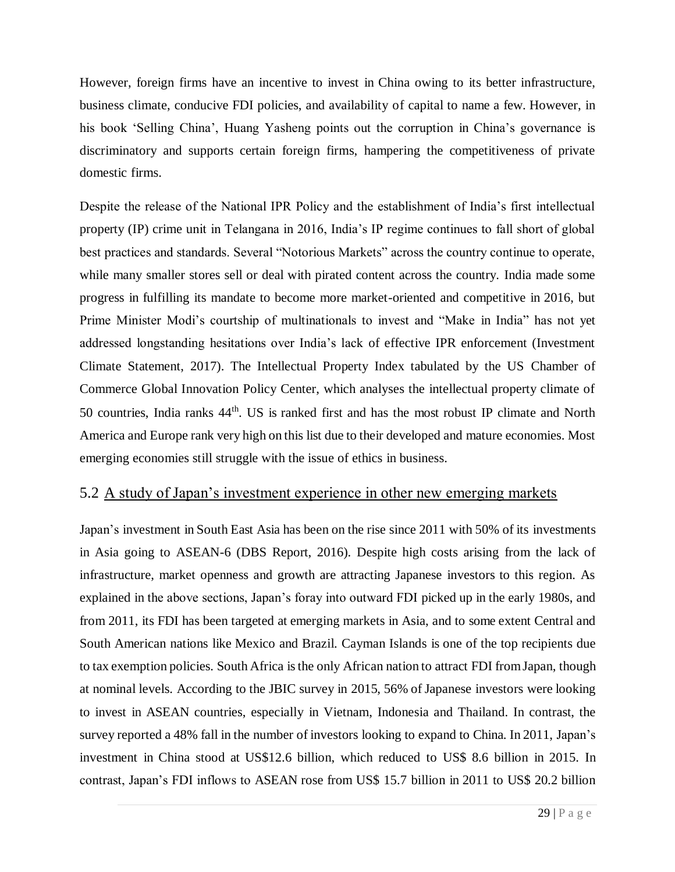However, foreign firms have an incentive to invest in China owing to its better infrastructure, business climate, conducive FDI policies, and availability of capital to name a few. However, in his book 'Selling China', Huang Yasheng points out the corruption in China's governance is discriminatory and supports certain foreign firms, hampering the competitiveness of private domestic firms.

Despite the release of the National IPR Policy and the establishment of India's first intellectual property (IP) crime unit in Telangana in 2016, India's IP regime continues to fall short of global best practices and standards. Several "Notorious Markets" across the country continue to operate, while many smaller stores sell or deal with pirated content across the country. India made some progress in fulfilling its mandate to become more market-oriented and competitive in 2016, but Prime Minister Modi's courtship of multinationals to invest and "Make in India" has not yet addressed longstanding hesitations over India's lack of effective IPR enforcement (Investment Climate Statement, 2017). The Intellectual Property Index tabulated by the US Chamber of Commerce Global Innovation Policy Center, which analyses the intellectual property climate of 50 countries, India ranks 44<sup>th</sup>. US is ranked first and has the most robust IP climate and North America and Europe rank very high on this list due to their developed and mature economies. Most emerging economies still struggle with the issue of ethics in business.

### 5.2 A study of Japan's investment experience in other new emerging markets

Japan's investment in South East Asia has been on the rise since 2011 with 50% of its investments in Asia going to ASEAN-6 (DBS Report, 2016). Despite high costs arising from the lack of infrastructure, market openness and growth are attracting Japanese investors to this region. As explained in the above sections, Japan's foray into outward FDI picked up in the early 1980s, and from 2011, its FDI has been targeted at emerging markets in Asia, and to some extent Central and South American nations like Mexico and Brazil. Cayman Islands is one of the top recipients due to tax exemption policies. South Africa isthe only African nation to attract FDI fromJapan, though at nominal levels. According to the JBIC survey in 2015, 56% of Japanese investors were looking to invest in ASEAN countries, especially in Vietnam, Indonesia and Thailand. In contrast, the survey reported a 48% fall in the number of investors looking to expand to China. In 2011, Japan's investment in China stood at US\$12.6 billion, which reduced to US\$ 8.6 billion in 2015. In contrast, Japan's FDI inflows to ASEAN rose from US\$ 15.7 billion in 2011 to US\$ 20.2 billion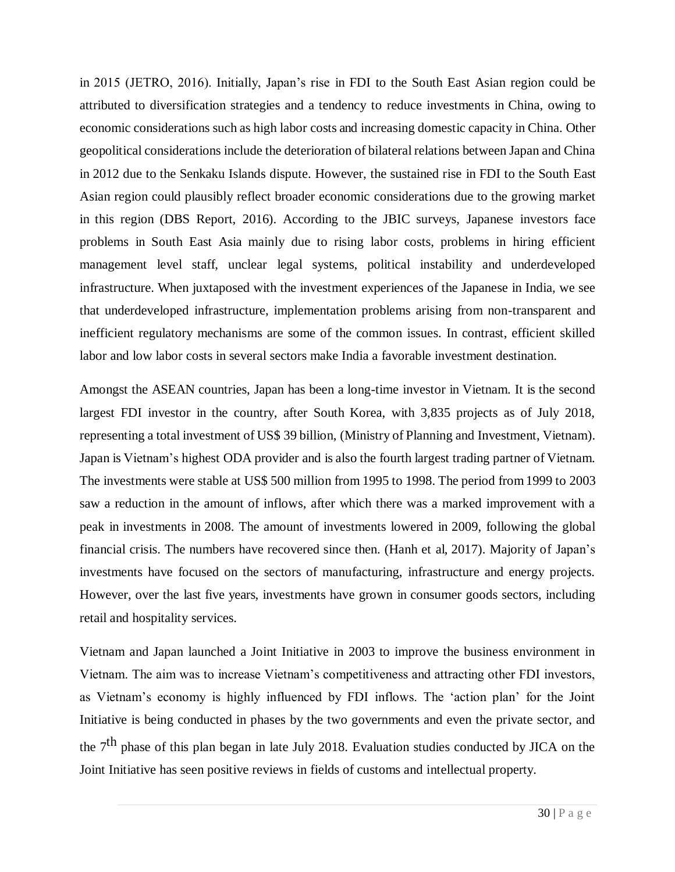in 2015 (JETRO, 2016). Initially, Japan's rise in FDI to the South East Asian region could be attributed to diversification strategies and a tendency to reduce investments in China, owing to economic considerations such as high labor costs and increasing domestic capacity in China. Other geopolitical considerations include the deterioration of bilateral relations between Japan and China in 2012 due to the Senkaku Islands dispute. However, the sustained rise in FDI to the South East Asian region could plausibly reflect broader economic considerations due to the growing market in this region (DBS Report, 2016). According to the JBIC surveys, Japanese investors face problems in South East Asia mainly due to rising labor costs, problems in hiring efficient management level staff, unclear legal systems, political instability and underdeveloped infrastructure. When juxtaposed with the investment experiences of the Japanese in India, we see that underdeveloped infrastructure, implementation problems arising from non-transparent and inefficient regulatory mechanisms are some of the common issues. In contrast, efficient skilled labor and low labor costs in several sectors make India a favorable investment destination.

Amongst the ASEAN countries, Japan has been a long-time investor in Vietnam. It is the second largest FDI investor in the country, after South Korea, with 3,835 projects as of July 2018, representing a total investment of US\$ 39 billion, (Ministry of Planning and Investment, Vietnam). Japan is Vietnam's highest ODA provider and is also the fourth largest trading partner of Vietnam. The investments were stable at US\$ 500 million from 1995 to 1998. The period from1999 to 2003 saw a reduction in the amount of inflows, after which there was a marked improvement with a peak in investments in 2008. The amount of investments lowered in 2009, following the global financial crisis. The numbers have recovered since then. (Hanh et al, 2017). Majority of Japan's investments have focused on the sectors of manufacturing, infrastructure and energy projects. However, over the last five years, investments have grown in consumer goods sectors, including retail and hospitality services.

Vietnam and Japan launched a Joint Initiative in 2003 to improve the business environment in Vietnam. The aim was to increase Vietnam's competitiveness and attracting other FDI investors, as Vietnam's economy is highly influenced by FDI inflows. The 'action plan' for the Joint Initiative is being conducted in phases by the two governments and even the private sector, and the 7<sup>th</sup> phase of this plan began in late July 2018. Evaluation studies conducted by JICA on the Joint Initiative has seen positive reviews in fields of customs and intellectual property.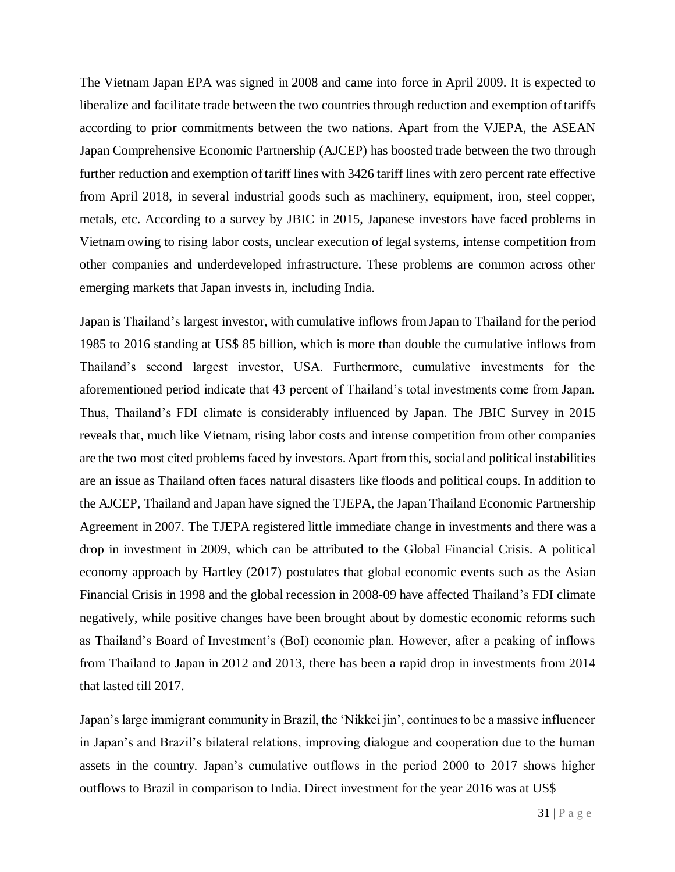The Vietnam Japan EPA was signed in 2008 and came into force in April 2009. It is expected to liberalize and facilitate trade between the two countries through reduction and exemption of tariffs according to prior commitments between the two nations. Apart from the VJEPA, the ASEAN Japan Comprehensive Economic Partnership (AJCEP) has boosted trade between the two through further reduction and exemption of tariff lines with 3426 tariff lines with zero percent rate effective from April 2018, in several industrial goods such as machinery, equipment, iron, steel copper, metals, etc. According to a survey by JBIC in 2015, Japanese investors have faced problems in Vietnam owing to rising labor costs, unclear execution of legal systems, intense competition from other companies and underdeveloped infrastructure. These problems are common across other emerging markets that Japan invests in, including India.

Japan is Thailand's largest investor, with cumulative inflows from Japan to Thailand for the period 1985 to 2016 standing at US\$ 85 billion, which is more than double the cumulative inflows from Thailand's second largest investor, USA. Furthermore, cumulative investments for the aforementioned period indicate that 43 percent of Thailand's total investments come from Japan. Thus, Thailand's FDI climate is considerably influenced by Japan. The JBIC Survey in 2015 reveals that, much like Vietnam, rising labor costs and intense competition from other companies are the two most cited problems faced by investors. Apart from this, social and political instabilities are an issue as Thailand often faces natural disasters like floods and political coups. In addition to the AJCEP, Thailand and Japan have signed the TJEPA, the Japan Thailand Economic Partnership Agreement in 2007. The TJEPA registered little immediate change in investments and there was a drop in investment in 2009, which can be attributed to the Global Financial Crisis. A political economy approach by Hartley (2017) postulates that global economic events such as the Asian Financial Crisis in 1998 and the global recession in 2008-09 have affected Thailand's FDI climate negatively, while positive changes have been brought about by domestic economic reforms such as Thailand's Board of Investment's (BoI) economic plan. However, after a peaking of inflows from Thailand to Japan in 2012 and 2013, there has been a rapid drop in investments from 2014 that lasted till 2017.

Japan's large immigrant community in Brazil, the 'Nikkei jin', continues to be a massive influencer in Japan's and Brazil's bilateral relations, improving dialogue and cooperation due to the human assets in the country. Japan's cumulative outflows in the period 2000 to 2017 shows higher outflows to Brazil in comparison to India. Direct investment for the year 2016 was at US\$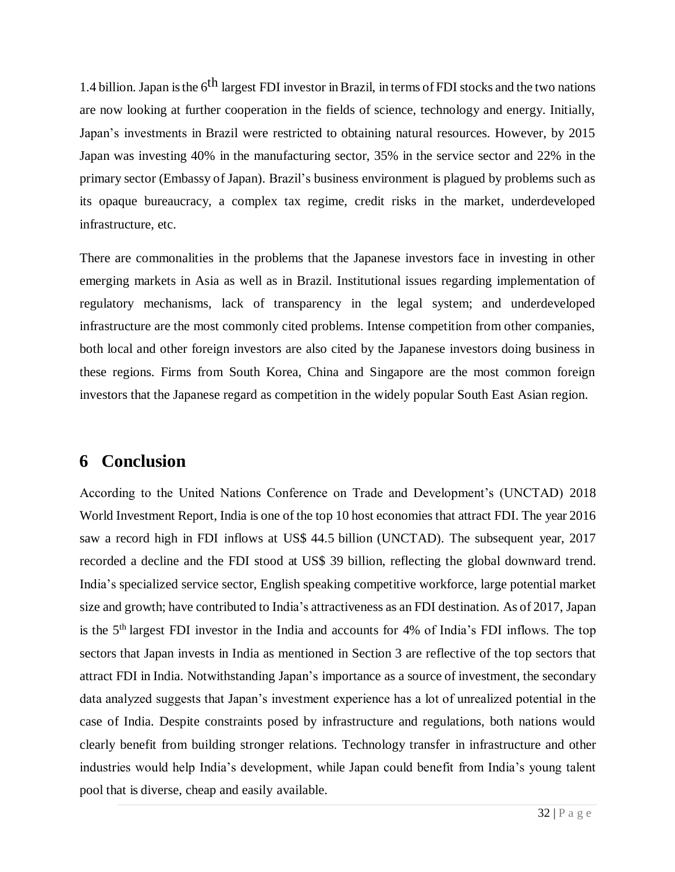1.4 billion. Japan is the 6<sup>th</sup> largest FDI investor in Brazil, in terms of FDI stocks and the two nations are now looking at further cooperation in the fields of science, technology and energy. Initially, Japan's investments in Brazil were restricted to obtaining natural resources. However, by 2015 Japan was investing 40% in the manufacturing sector, 35% in the service sector and 22% in the primary sector (Embassy of Japan). Brazil's business environment is plagued by problems such as its opaque bureaucracy, a complex tax regime, credit risks in the market, underdeveloped infrastructure, etc.

There are commonalities in the problems that the Japanese investors face in investing in other emerging markets in Asia as well as in Brazil. Institutional issues regarding implementation of regulatory mechanisms, lack of transparency in the legal system; and underdeveloped infrastructure are the most commonly cited problems. Intense competition from other companies, both local and other foreign investors are also cited by the Japanese investors doing business in these regions. Firms from South Korea, China and Singapore are the most common foreign investors that the Japanese regard as competition in the widely popular South East Asian region.

# **6 Conclusion**

According to the United Nations Conference on Trade and Development's (UNCTAD) 2018 World Investment Report, India is one of the top 10 host economies that attract FDI. The year 2016 saw a record high in FDI inflows at US\$ 44.5 billion (UNCTAD). The subsequent year, 2017 recorded a decline and the FDI stood at US\$ 39 billion, reflecting the global downward trend. India's specialized service sector, English speaking competitive workforce, large potential market size and growth; have contributed to India's attractiveness as an FDI destination. As of 2017, Japan is the 5<sup>th</sup> largest FDI investor in the India and accounts for 4% of India's FDI inflows. The top sectors that Japan invests in India as mentioned in Section 3 are reflective of the top sectors that attract FDI in India. Notwithstanding Japan's importance as a source of investment, the secondary data analyzed suggests that Japan's investment experience has a lot of unrealized potential in the case of India. Despite constraints posed by infrastructure and regulations, both nations would clearly benefit from building stronger relations. Technology transfer in infrastructure and other industries would help India's development, while Japan could benefit from India's young talent pool that is diverse, cheap and easily available.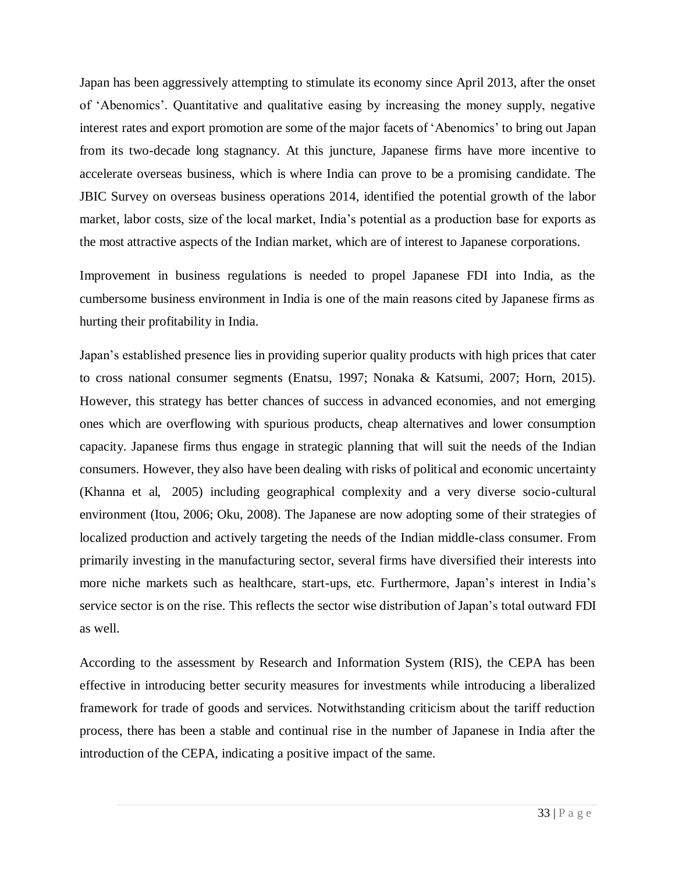Japan has been aggressively attempting to stimulate its economy since April 2013, after the onset of 'Abenomics'. Quantitative and qualitative easing by increasing the money supply, negative interest rates and export promotion are some of the major facets of 'Abenomics' to bring out Japan from its two-decade long stagnancy. At this juncture, Japanese firms have more incentive to accelerate overseas business, which is where India can prove to be a promising candidate. The JBIC Survey on overseas business operations 2014, identified the potential growth of the labor market, labor costs, size of the local market, India's potential as a production base for exports as the most attractive aspects of the Indian market, which are of interest to Japanese corporations.

Improvement in business regulations is needed to propel Japanese FDI into India, as the cumbersome business environment in India is one of the main reasons cited by Japanese firms as hurting their profitability in India.

Japan's established presence lies in providing superior quality products with high prices that cater to cross national consumer segments (Enatsu, 1997; Nonaka & Katsumi, 2007; Horn, 2015). However, this strategy has better chances of success in advanced economies, and not emerging ones which are overflowing with spurious products, cheap alternatives and lower consumption capacity. Japanese firms thus engage in strategic planning that will suit the needs of the Indian consumers. However, they also have been dealing with risks of political and economic uncertainty (Khanna et al, 2005) including geographical complexity and a very diverse socio-cultural environment (Itou, 2006; Oku, 2008). The Japanese are now adopting some of their strategies of localized production and actively targeting the needs of the Indian middle-class consumer. From primarily investing in the manufacturing sector, several firms have diversified their interests into more niche markets such as healthcare, start-ups, etc. Furthermore, Japan's interest in India's service sector is on the rise. This reflects the sector wise distribution of Japan's total outward FDI as well.

According to the assessment by Research and Information System (RIS), the CEPA has been effective in introducing better security measures for investments while introducing a liberalized framework for trade of goods and services. Notwithstanding criticism about the tariff reduction process, there has been a stable and continual rise in the number of Japanese in India after the introduction of the CEPA, indicating a positive impact of the same.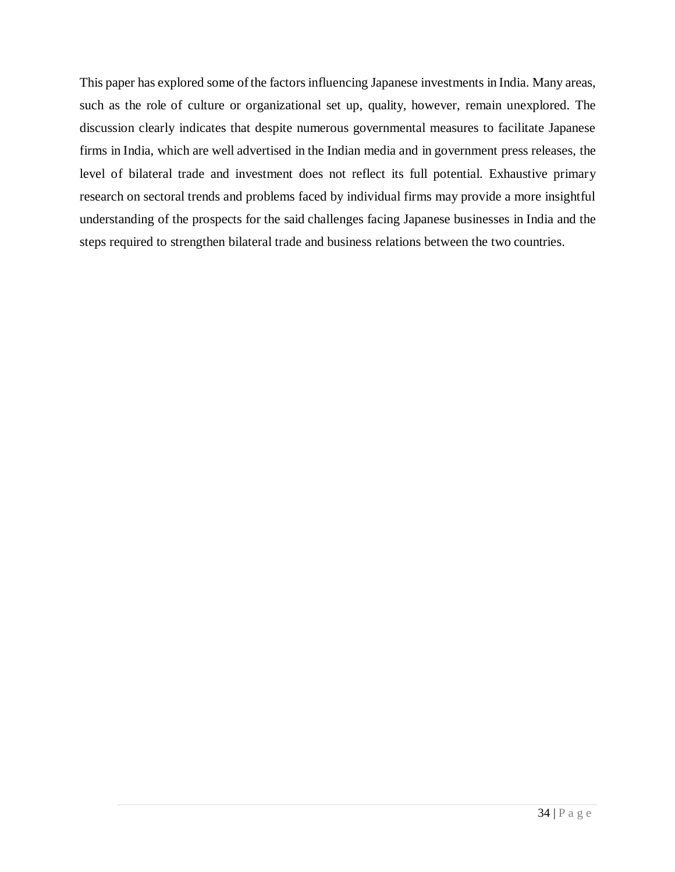This paper has explored some of the factors influencing Japanese investments in India. Many areas, such as the role of culture or organizational set up, quality, however, remain unexplored. The discussion clearly indicates that despite numerous governmental measures to facilitate Japanese firms in India, which are well advertised in the Indian media and in government press releases, the level of bilateral trade and investment does not reflect its full potential. Exhaustive primary research on sectoral trends and problems faced by individual firms may provide a more insightful understanding of the prospects for the said challenges facing Japanese businesses in India and the steps required to strengthen bilateral trade and business relations between the two countries.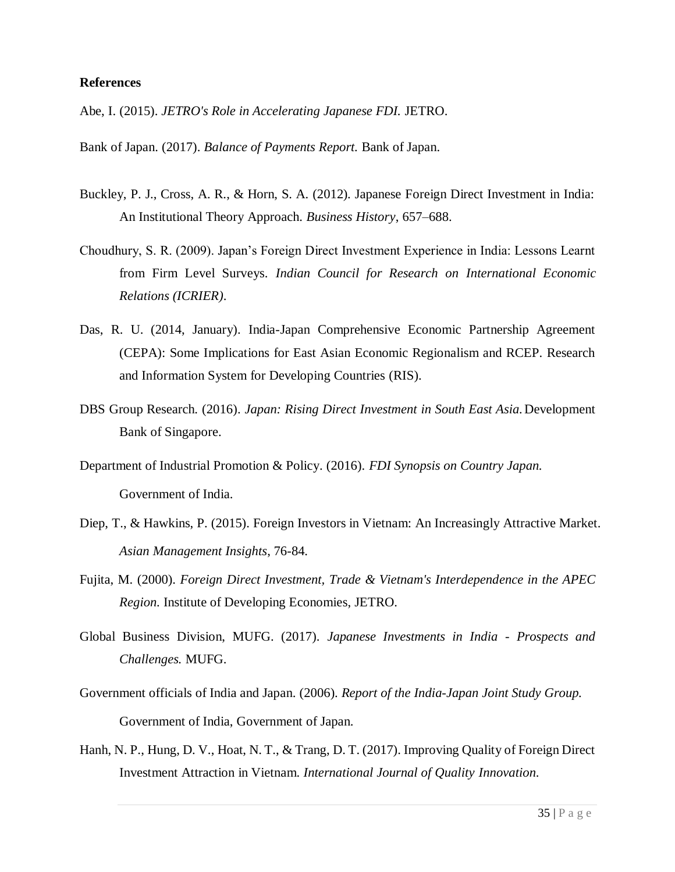#### **References**

Abe, I. (2015). *JETRO's Role in Accelerating Japanese FDI.* JETRO.

Bank of Japan. (2017). *Balance of Payments Report.* Bank of Japan.

- Buckley, P. J., Cross, A. R., & Horn, S. A. (2012). Japanese Foreign Direct Investment in India: An Institutional Theory Approach. *Business History*, 657–688.
- Choudhury, S. R. (2009). Japan's Foreign Direct Investment Experience in India: Lessons Learnt from Firm Level Surveys. *Indian Council for Research on International Economic Relations (ICRIER)*.
- Das, R. U. (2014, January). India-Japan Comprehensive Economic Partnership Agreement (CEPA): Some Implications for East Asian Economic Regionalism and RCEP. Research and Information System for Developing Countries (RIS).
- DBS Group Research. (2016). *Japan: Rising Direct Investment in South East Asia.*Development Bank of Singapore.
- Department of Industrial Promotion & Policy. (2016). *FDI Synopsis on Country Japan.* Government of India.
- Diep, T., & Hawkins, P. (2015). Foreign Investors in Vietnam: An Increasingly Attractive Market. *Asian Management Insights*, 76-84.
- Fujita, M. (2000). *Foreign Direct Investment, Trade & Vietnam's Interdependence in the APEC Region.* Institute of Developing Economies, JETRO.
- Global Business Division, MUFG. (2017). *Japanese Investments in India - Prospects and Challenges.* MUFG.
- Government officials of India and Japan. (2006). *Report of the India-Japan Joint Study Group.* Government of India, Government of Japan.
- Hanh, N. P., Hung, D. V., Hoat, N. T., & Trang, D. T. (2017). Improving Quality of Foreign Direct Investment Attraction in Vietnam. *International Journal of Quality Innovation*.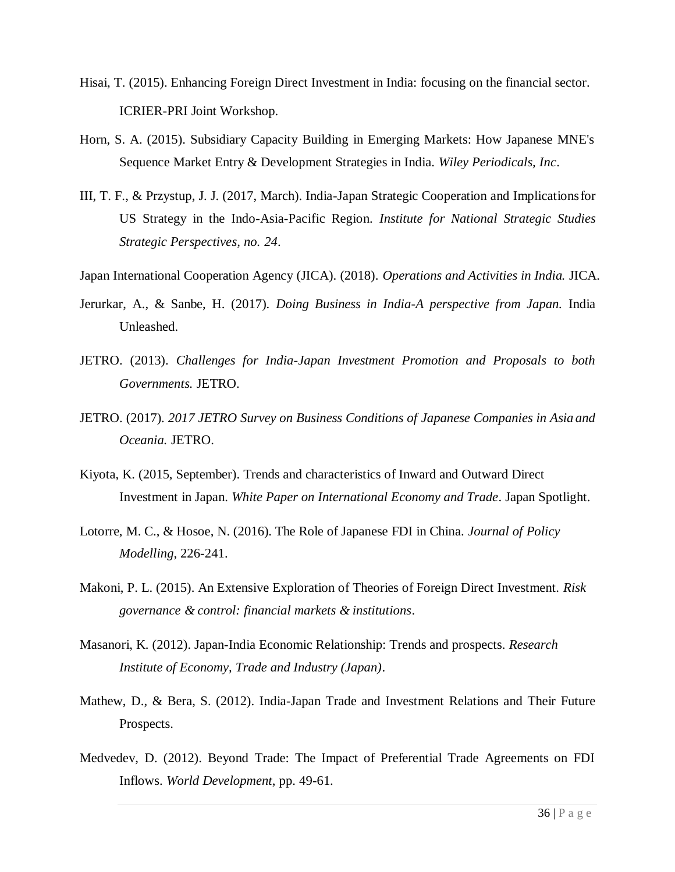- Hisai, T. (2015). Enhancing Foreign Direct Investment in India: focusing on the financial sector. ICRIER-PRI Joint Workshop.
- Horn, S. A. (2015). Subsidiary Capacity Building in Emerging Markets: How Japanese MNE's Sequence Market Entry & Development Strategies in India. *Wiley Periodicals, Inc*.
- III, T. F., & Przystup, J. J. (2017, March). India-Japan Strategic Cooperation and Implicationsfor US Strategy in the Indo-Asia-Pacific Region. *Institute for National Strategic Studies Strategic Perspectives, no. 24*.
- Japan International Cooperation Agency (JICA). (2018). *Operations and Activities in India.* JICA.
- Jerurkar, A., & Sanbe, H. (2017). *Doing Business in India-A perspective from Japan.* India Unleashed.
- JETRO. (2013). *Challenges for India-Japan Investment Promotion and Proposals to both Governments.* JETRO.
- JETRO. (2017). *2017 JETRO Survey on Business Conditions of Japanese Companies in Asia and Oceania.* JETRO.
- Kiyota, K. (2015, September). Trends and characteristics of Inward and Outward Direct Investment in Japan. *White Paper on International Economy and Trade*. Japan Spotlight.
- Lotorre, M. C., & Hosoe, N. (2016). The Role of Japanese FDI in China. *Journal of Policy Modelling*, 226-241.
- Makoni, P. L. (2015). An Extensive Exploration of Theories of Foreign Direct Investment. *Risk governance & control: financial markets & institutions*.
- Masanori, K. (2012). Japan-India Economic Relationship: Trends and prospects. *Research Institute of Economy, Trade and Industry (Japan)*.
- Mathew, D., & Bera, S. (2012). India-Japan Trade and Investment Relations and Their Future Prospects.
- Medvedev, D. (2012). Beyond Trade: The Impact of Preferential Trade Agreements on FDI Inflows. *World Development*, pp. 49-61.